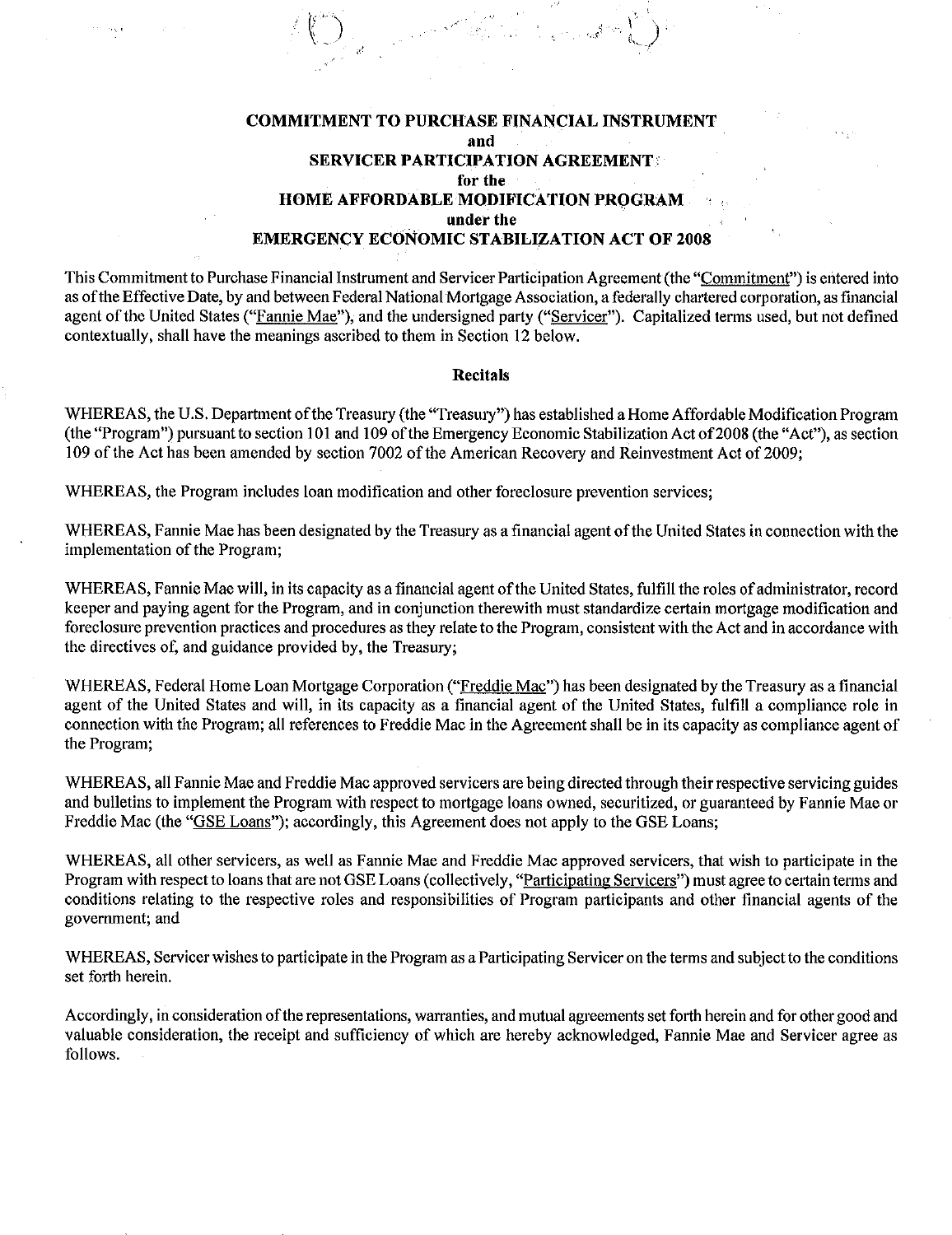#### COMMITMENT TO PURCHASE FINANCIAL INSTRUMENT and **SERVICER PARTICIPATION AGREEMENT:** for the HOME AFFORDABLE MODIFICATION PROGRAM under the EMERGENCY ECONOMIC STABILIZATION ACT OF 2008

This Commitment to Purchase Financial Instrument and Servicer Participation Agreement (the "Commitment") is entered into as ofthe Effective Date, by and between Federal National Mortgage Association, a federally chartered corporation, as financial agent of the United States ("Fannie Mae"), and the undersigned party ("Servicer"). Capitalized terms used, but not defined contextually, shall have the meanings ascribed to them in Section 12 below.

#### Recitals

WHEREAS, the U.S. Department of the Treasury (the "Treasury") has established a Home Affordable Modification Program (the "Program") pursuant to section I0I and 109 ofthe Emergency Economic Stabilization Act of2008 (the "Act"), as section 109 of the Act has been amended by section 7002 of the American Recovery and Reinvestment Act of 2009;

WHEREAS, the Program includes loan modification and other foreclosure prevention services;

WHEREAS, Fannie Mae has been designated by the Treasury as a financial agent of the United States in connection with the implementation of the Program;

WHEREAS, Fannie Mae will, in its capacity as a financial agent of the United States, fulfill the roles of administrator, record keeper and paying agent for the Program, and in conjunction therewith must standardize certain mortgage modification and foreclosure prevention practices and procedures as they relate to the Program, consistent with the Act and in accordance with the directives of, and guidance provided by, the Treasury;

WHEREAS, Federal Home Loan Mortgage Corporation ("Freddie Mac") has been designated by the Treasury as a financial agent of the United States and will, in its capacity as a financial agent of the United States, fulfill a compliance role in connection with the Program; all references to Freddie Mac in the Agreement shall be in its capacity as compliance agent of the Program;

WHEREAS, all Fannie Mae and Freddie Mac approved servicers are being directed through their respective servicing guides and bulletins to implement the Program with respect to mortgage loans owned, securitized, or guaranteed by Fannie Mae or Freddie Mac (the "GSE Loans"); accordingly, this Agreement does not apply to the GSE Loans;

WHEREAS, all other servicers, as well as Fannie Mae and Freddie Mac approved servicers, that wish to participate in the Program with respect to loans that are not GSE Loans (collectively, "Participating Servicers") must agree to certain terms and conditions relating to the respective roles and responsibilities of Program participants and other financial agents of the govermnent; and

WHEREAS, Servicer wishes to participate in the Program as a Participating Servicer on the terms and subject to the conditions set forth herein.

Accordingly, in consideration of the representations, warranties, and mutual agreements set forth herein and for other good and valuable consideration, the receipt and sufficiency of which are hereby acknowledged, Fannie Mae and Servicer agree as follows.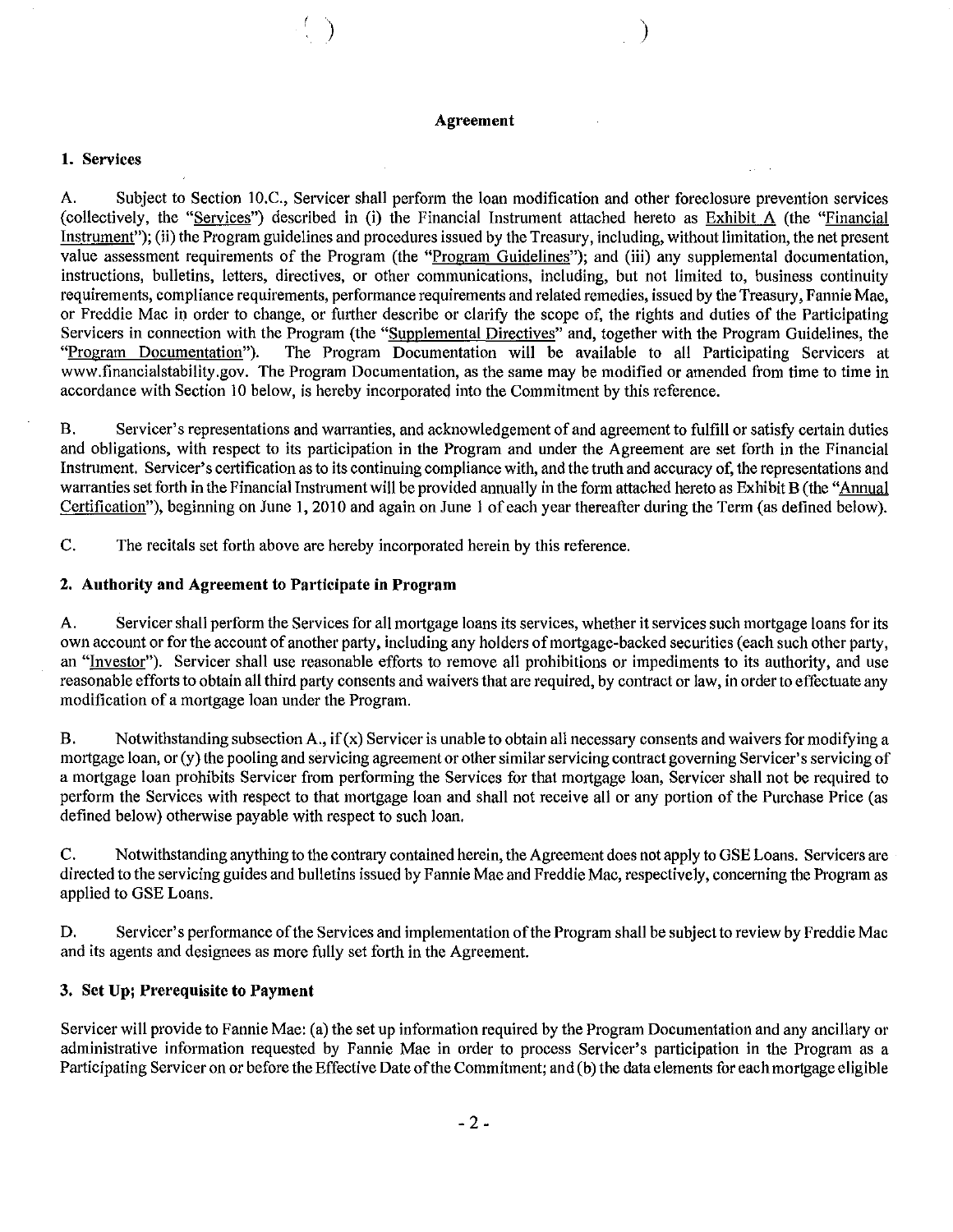#### Agreement

)

#### 1. Services

A. Subject to Section 10.C., Servicer shall perform the loan modification and other foreclosure prevention services (collectively, the "Services") described in (i) the Financial Instrument attached hereto as Exhibit A (the "Financial Instrument"); (ii) the Program guidelines and procedures issued by the Treasury, including, without limitation, the net present value assessment requirements of the Program (the "Program Guidelines"); and (iii) any supplemental documentation, instructions, bulletins, letters, directives, or other communications, including, but not limited to, business continuity requirements, compliance requirements, performance requirements and related remedies, issued by the Treasury, Fannie Mae, or Freddie Mac in order to change, or further describe or clarify the scope of, the rights and duties of the Participating Servicers in connection with the Program (the "Supplemental Directives" and, together with the Program Guidelines, the "Program" Documentation"). The Program Documentation will be available to all Participating Servicers a The Program Documentation will be available to all Participating Servicers at www.financialstability.gov. The Program Documentation, as the same may be modified or amended from time to time in accordance with Section 10 below, is hereby incorporated into the Commitment by this reference.

B. Servicer's representations and warranties, and acknowledgement of and agreement to fulfill or satisfy certain duties and obligations, with respect to its participation in the Program and under the Agreement are set forth in the Financial Instrument. Servicer's certification as to its continuing compliance with, and the truth and accuracy of, the representations and warranties set forth in the Financial Instrument will be provided annually in the form attached hereto as Exhibit B (the "Annual Certification"), beginning on June 1,2010 and again on June 1 of each year thereafter during the Term (as defined below).

C. The recitals set forth above are hereby incorporated herein by this reference.

#### 2. Authority and Agreement to Participate in Program

A. Servicer shall perform the Services for all mortgage loans its services, whether it services such mortgage loans for its own account or for the account of another party, including any holders of mortgage-backed securities (each such other party, an "Investor"). Servicer shall use reasonable efforts to remove all prohibitions or impediments to its authority, and use reasonable efforts to obtain all third party consents and waivers that are required, by contract or law, in order to effectuate any modification of a mortgage loan under the Program.

B. Notwithstanding subsection A., if  $(x)$  Servicer is unable to obtain all necessary consents and waivers for modifying a mortgage loan, or (y) the pooling and servicing agreement or other similar servicing contract governing Servicer's servicing of a mortgage loan prohibits Servicer from performing the Services for that mortgage loan, Servicer shall not be required to perform the Services with respect to that mortgage loan and shall not receive all or any portion of the Purchase Price (as defined below) otherwise payable with respect to such loan.

C. Notwithstanding anything to the contrary contained herein, the Agreement does not apply to GSE Loans. Servicers are directed to the servicing guides and bulletins issued by Fannie Mae and Freddie Mac, respectively, concerning the Program as applied to GSE Loans.

D. Servicer's performance of the Services and implementation of the Program shall be subject to review by Freddie Mac and its agents and designees as more fully set forth in the Agreement.

#### 3. Set Up; Prerequisite to Payment

Servicer will provide to Fannie Mae: (a) the set up information required by the Program Documentation and any ancillary or administrative information requested by Fannie Mae in order to process Servicer's participation in the Program as a Participating Servicer on or before the Effective Date of the Commitment; and (b) the data elements for each mortgage eligible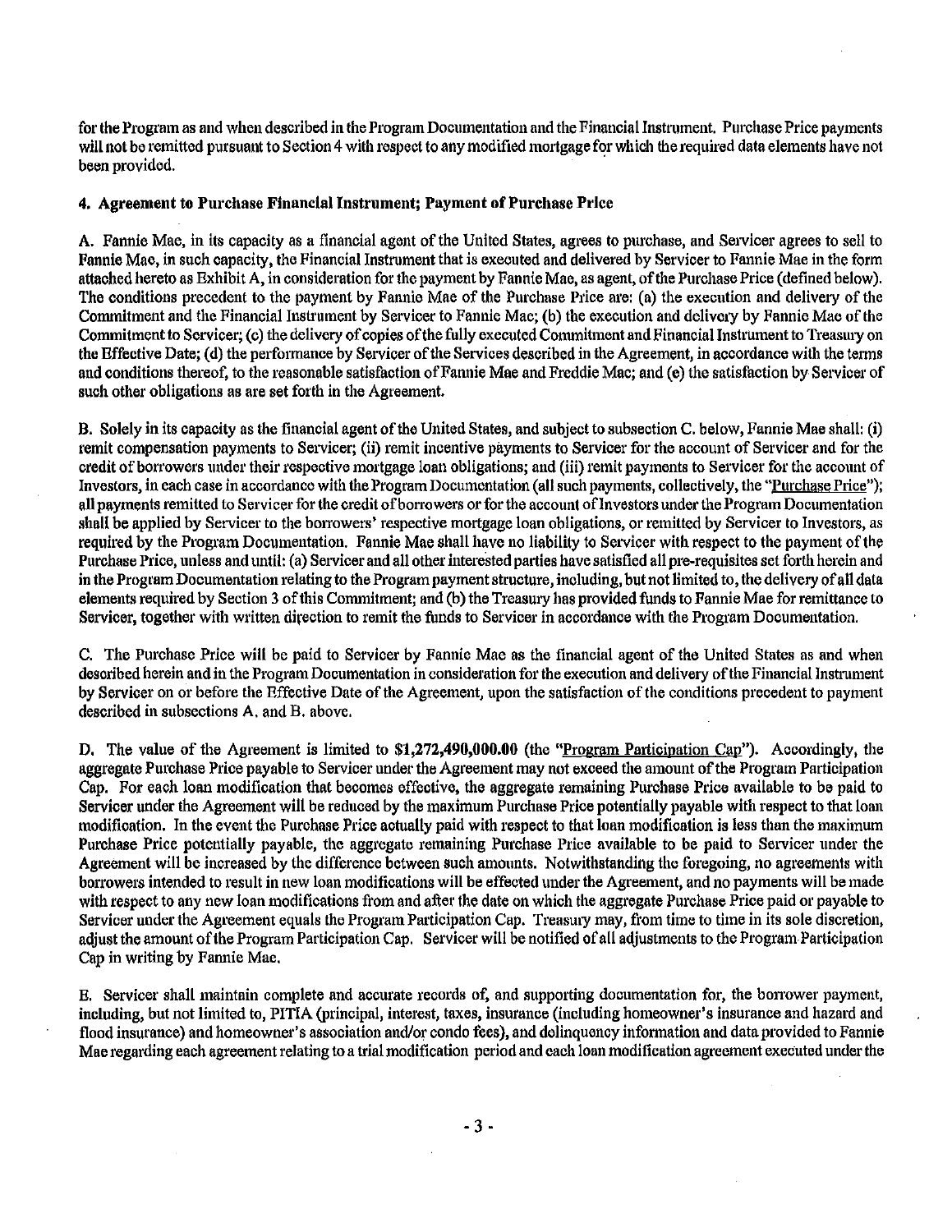for the Program as and when described in the ProgramDocumentation and the Financial Instrument. Purchase Price payments will not be remitted pursuant to Section 4 with respect to any modified mortgage for which the required data elements have not been provided. .

#### 4. Agreement to Purchase Financial Instrument; Payment of Purchase Price

A. Fannie Mae, in its capacity as a financial agent of the United States, agrees to purchase, and Servicer agrees to sell to Fannie Mae, in such capacity, the Financial Instrument that is executed and delivered by Servicer to Fannie Mae in the form attached hereto as Exhibit A, in consideration for the payment by Fannie Mae, as agent, of the Purchase Price (defined below). The conditions precedent to the payment by Fannie Mae of the Purchase Price are: (a) the execution and delivery of the Commitment and the Financial Instrument by Servicer to Fannie Mae; (b) the execution and delivery by Fannie Mae of the Commitment to Servicer; (c) the delivery of copies of the fully executed Commitment and Financial Instrument to Treasury on the Effective Date; (d) the performance by Servicer of the Services described in the Agreement, in accordance with the terms and conditions thereof, to the reasonable satisfaction of Fannie Mae and Freddie Mac; and (e) the satisfaction by Servicer of such other obligations as are set forth in the Agreement.

B. Solely in its capacity as the financial agent ofthe United States, and subject to subsection C. below, Fannie Mae shall: (i) remit compensation payments to Servicer; (ii) remit incentive payments to Servicer for the account of Servicer and for the credit of borrowers under their respective mortgage loan obligations; and (iii) remit payments to Servicer for the account of Investors, in each case in accordance with the Program Documentation (all such payments, collectively, the "Purchase Price"); all payments remitted to Servicer for the credit of borrowers or for the account of Investors under the Program Documentation shall be applied by Servicer to the borrowers' respective mortgage loan obligations, or remitted by Servicer to Investors, as required by the Program Documentation. Fannie Mae shall have no liability to Servicer with respect to the payment of the Purchase Price, unless and until: (a) Servicer and all other interested parties have satisfied all pre-requisites set forth herein and in the ProgramDocumentation relating to the Programpaymentstructure, including, but not limited to, the delivery ofall data elements required by Section 3 of this Commitment; and (b) the Treasury has provided funds to Fannie Mae for remittance to Servicer, together with written direction to remit the funds to Servicer in accordance with the Program Documentation.

C. The Purchase Price will be paid to Servicer by Fannie Mae as the financial agent of the United States as and when desoribed herein and in the Program Documentation in consideration for the execution and delivery of the Financial Instrument by Servicer on or before the Effective Date of the Agreement, upon the satisfaction of the conditions precedent to payment described in subsections A. and B. above.

D. The value of the Agreement is limited to \$1,272,490,000.00 (the "Program Participation Cap"). Accordingly, the aggregate Purchase Price payable to Servicer under the Agreement may not exceed the amount of the Program Participation Cap. For each loan modification that becomes effective, the aggregate remaining Purchase Price available to be paid to Servicer under the Agreement will be reduced by the maximum Purchase Price potentially payable with respect to that loan modification. In the event the Purchase Price actually paid with respect to that loan modification is less than the maximum Purchase Price potentially payable, the aggregate remaining Purchase Price available to be paid to Servicer under the Agreement will be increased by the difference between such amounts. Notwithstanding the foregoing, no agreements with borrowers intended to result in new loan modifications will be effected under the Agreement, and no payments will be made with respect to any new loan modifications from and after the date on which the aggregate Purchase Price paid or payable to Servicer under the Agreement equals the Program Participation Cap. Treasury may, from time to time in its sole discretion, adjust the amount of the Program Participation Cap. Servicer will be notified of all adjustments to the Program Participation Cap in writing by Fannie Mae.

E. Servicer shall maintain complete and accurate records of, and supporting documentation for, the bon-ower payment, including, but not limited to, PITIA (principal, interest, taxes, insurance (including homeowner's insurance and hazard and flood insurance) and homeowner's association andlor condo fees), and delinquency information and data provided to Fannie Mae regarding each agreement relating to a trial modification period and each loan modification agreement executed underthe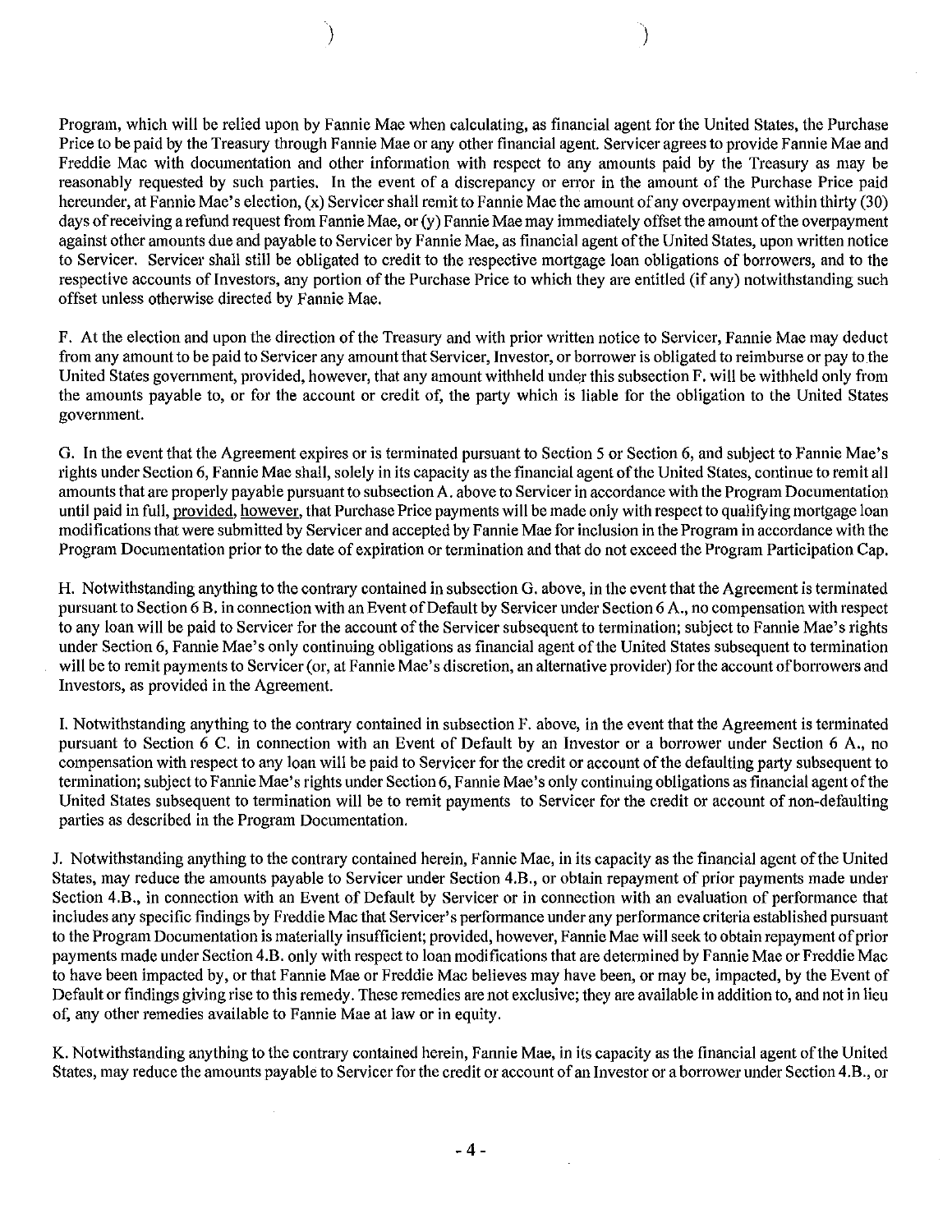Program, which will be relied upon by Fannie Mae when calculating, as financial agent for the United States, the Purchase Price to be paid by the Treasury through Fannie Mae or any other financial agent. Servicer agrees to provide Fannie Mae and Freddie Mac with documentation and other information with respect to any amounts paid by the Treasury as may be reasonably requested by such parties. In the event of a discrepancy or error in the amount of the Purchase Price paid hereunder, at Fannie Mae's election, (x) Servicer shall remit to Fannie Mae the amount of any overpayment within thirty (30) days of receiving a refund request from Fannie Mae, or (y) Fannie Mae may immediately offset the amount of the overpayment against other amounts due and payable to Servicer by Fannie Mae, as financial agent ofthe United States, upon written notice to Servicer. Servicer shall still be obligated to credit to the respective mortgage loan obligations of borrowers, and to the respective accounts of Investors, any portion of the Purchase Price to which they are entitled (if any) notwithstanding such offset unless otherwise directed by Fannie Mae.

) and the contract of  $\mathcal{O}(\mathbb{R}^d)$ 

F. At the election and upon the direction of the Treasury and with prior written notice to Servicer, Fannie Mae may deduct from any amount to be paid to Servicer any amount that Servicer, Investor, or borrower is obligated to reimburse or pay to the United States government, provided, however, that any amount withheld under this subsection F. will be withheld only from the amounts payable to, or for the account or credit of, the party which is liable for the obligation to the United States government.

G. In the event that the Agreement expires or is terminated pursuant to Section 5 or Section 6, and subject to Fannie Mae's rights under Section 6, Fannie Mae shall, solely in its capacity as the financial agent ofthe United States, continue to remit all amounts that are properly payable pursuant to subsection A. above to Servicer in accordance with the Program Documentation until paid in full, provided, however, that Purchase Price payments will be made only with respect to qualifying mortgage loan modifications that were submitted by Servicer and accepted by Fannie Mae for inclusion in the Program in accordance with the Program Documentation prior to the date of expiration or termination and that do not exceed the Program Participation Cap.

H. Notwithstanding anything to the contrary contained in subsection G. above, in the event that the Agreement is terminated pursuant to Section 6 B, in connection with an Event of Default by Servicer under Section 6 A, no compensation with respect to any loan will be paid to Servicer for the account of the Servicer subsequent to termination; subject to Fannie Mae's rights under Section 6, Fannie Mae's only continuing obligations as financial agent of the United States subsequent to termination will be to remit payments to Servicer (or, at Fannie Mae's discretion, an alternative provider) for the account of borrowers and Investors, as provided in the Agreement.

1. Notwithstanding anything to the contrary contained in subsection F. above, in the event that the Agreement is terminated pursuant to Section 6 C. in connection with an Event of Default by an Investor or a borrower under Section 6 A., no compensation with respect to any loan will be paid to Servicer for the credit or account of the defaulting party subsequent to termination; subject to Fannie Mae's rights under Section 6, Fannie Mae's only continuing obligations as financial agent ofthe United States subsequent to termination will be to remit payments to Servicer for the credit or account of non-defaulting parties as described in the Program Documentation.

J. Notwithstanding anything to the contrary contained herein, Fannie Mae, in its capacity as the financial agent ofthe United States, may reduce the amounts payable to Servicer under Section 4.B., or obtain repayment of prior payments made under Section 4.B., in connection with an Event of Default by Servicer or in connection with an evaluation of performance that includes any specific findings by Freddie Mac that Servicer's performance under any performance criteria established pursuant to the Program Documentation is materially insufficient; provided, however, Fannie Mae will seek to obtain repayment of prior payments made under Section 4.B. only with respect to loan modifications that are determined by Fannie Mae or Freddie Mac to have been impacted by, or that Fannie Mae or Freddie Mac believes may have been, or may be, impacted, by the Event of Default or findings giving rise to this remedy. These remedies are not exclusive; they are available in addition to, and not in lieu of, any other remedies available to Fannie Mae at law or in equity.

K. Notwithstanding anything to the contrary contained herein, Fannie Mae, in its capacity as the financial agent of the United States, may reduce the amounts payable to Servicer for the credit or account of an Investor or a borrower under Section 4.B., or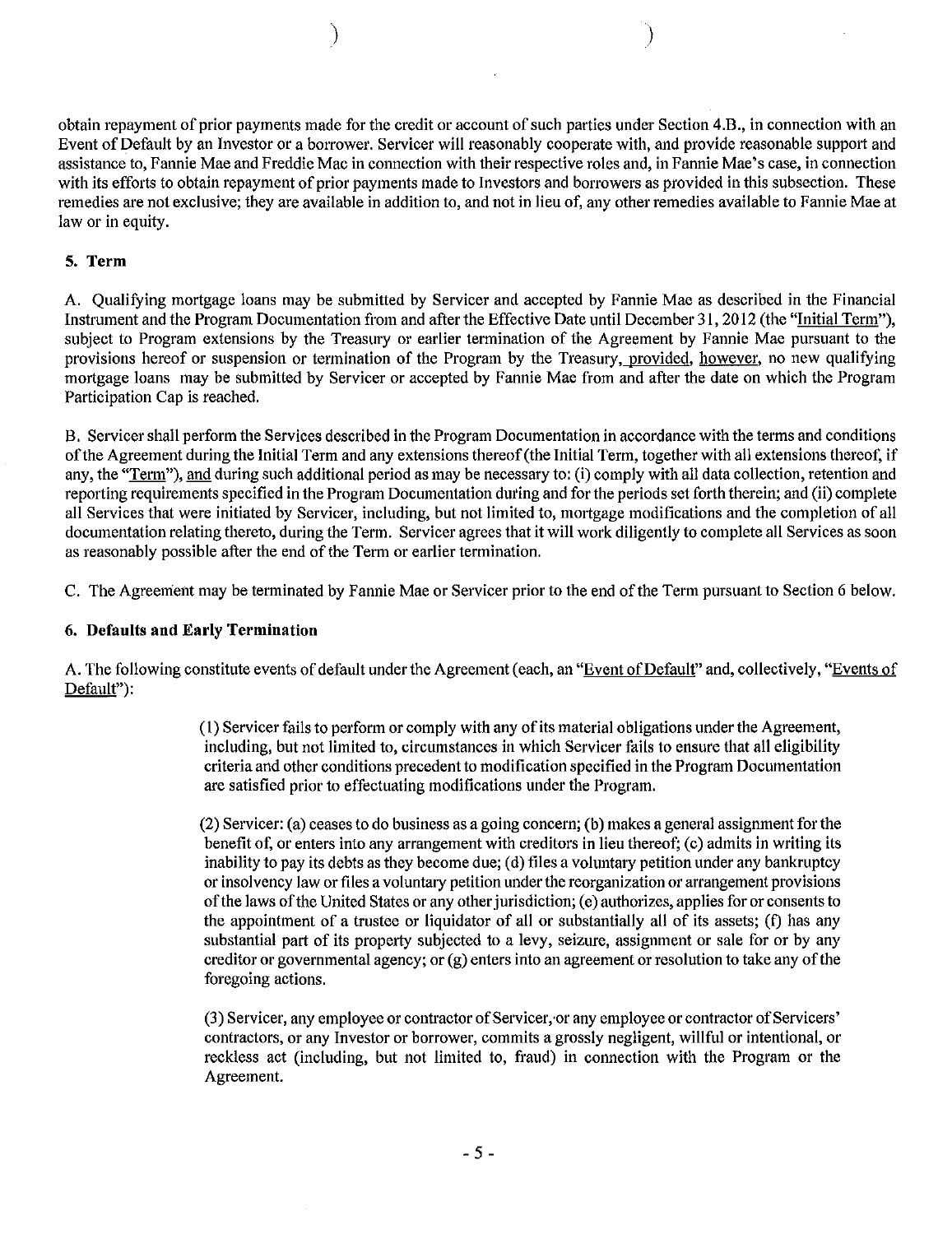obtain repayment of prior payments made for the credit or account of such parties under Section 4.B., in connection with an Event of Default by an Investor or a borrower. Servicer will reasonably cooperate with, and provide reasonable support and assistance to, Fannie Mae and Freddie Mac in connection with their respective roles and, in Fannie Mae's case, in connection with its efforts to obtain repayment of prior payments made to Investors and borrowers as provided in this subsection. These remedies are not exclusive; they are available in addition to, and not in lieu of, any other remedies available to Fannie Mae at law or in equity.

) and the contract of  $\mathcal{O}(n)$ 

#### 5. Term

A. Qualifying mortgage loans may be submitted by Servicer and accepted by Fannie Mae as described in the Financial Instrument and the Program Documentation from and after the Effective Date until December 31, 2012 (the "Initial Term"), subject to Program extensions by the Treasury or earlier termination of the Agreement by Fannie Mae pursuant to the provisions hereof or suspension or termination of the Program by the Treasury, provided, however, no new qualifying mortgage loans may be submitted by Servicer or accepted by Fannie Mae from and after the date on which the Program Participation Cap is reached.

B. Servicershall perform the Services described in the Program Documentation in accordance with the terms and conditions ofthe Agreement during the Initial Term and any extensions thereof(the Initial Term, together with all extensions thereof, if any, the "Term"), and during such additional period as may be necessary to: (i) comply with all data collection, retention and reporting requirements specified in the Program Documentation during and for the periods set forth therein; and (ii) complete all Services that were initiated by Servicer, including, but not limited to, mortgage modifications and the completion of all documentation relating thereto, during the Term. Servicer agrees that it will work diligently to complete all Services as soon as reasonably possible after the end of the Term or earlier termination.

C. The Agreement may be terminated by Fannie Mae or Servicer prior to the end ofthe Term pursuant to Section 6 below.

#### 6. Defaults and Early **Termination**

A. The following constitute events of default under the Agreement (each, an "Event of Default" and, collectively, "Events of Default"):

> (I) Servicer fails to perform or comply with any ofits material obligations under the Agreement, including, but not limited to, circumstances in which Servicer fails to ensure that all eligibility criteria and other conditions precedent to modification specified in the Program Documentation are satisfied prior to effectuating modifications under the Program.

> (2) Servicer: (a) ceasesto do business as a going concern; (b) makes a general assignment for the benefit of, or enters into any arrangement with creditors in lieu thereof; (c) admits in writing its inability to pay its debts as they become due; (d) files a voluntary petition under any bankruptcy or insolvency law or files a voluntary petition under the reorganization or arrangement provisions of the laws of the United States or any other jurisdiction; (e) authorizes, applies for or consents to the appointment of a trustee or liquidator of all or substantially all of its assets; (t) has any substantial part of its property subjected to a levy, seizure, assignment or sale for or by any creditor or governmental agency; or  $(g)$  enters into an agreement or resolution to take any of the foregoing actions.

> (3) Servicer, any employee or contractor of Servicer, or any employee or contractor of Servicers' contractors, or any Investor or borrower, commits a grossly negligent, willful or intentional, or reckless act (including, but not limited to, fraud) in connection with the Program or the Agreement.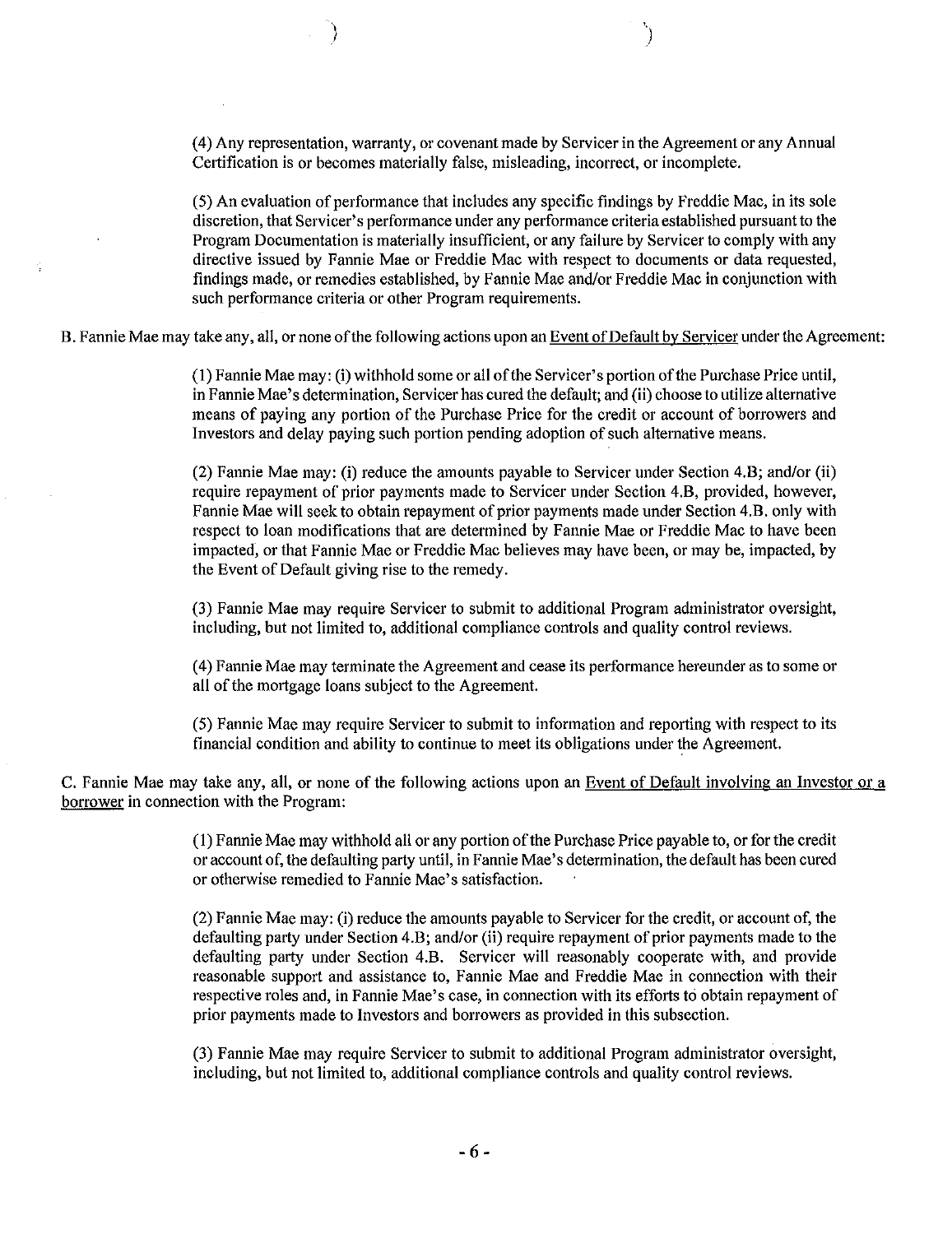(4) Any representation, warranty, or covenant made by Servicer in the Agreement or any Annual Certification is or becomes materially false, misleading, incorrect, or incomplete.

 $(5)$  An evaluation of performance that includes any specific findings by Freddie Mac, in its sole discretion, that Servicer's performance under any performance criteria established pursuant to the Program Documentation is materially insufficient, or any failure by Servicer to comply with any directive issued by Fannie Mae or Freddie Mac with respect to documents or data requested, findings made, or remedies established, by Fannie Mae and/or Freddie Mac in conjunction with such performance criteria or other Program requirements.

B. Fannie Mae may take any, all, or none of the following actions upon an Event of Default by Servicer under the Agreement:

(1) Fannie Mae may: (i) withhold some or all ofthe Servicer's portion ofthe Purchase Price until, in Fannie Mae's determination, Servicer has cured the default; and (ii) choose to utilize alternative means of paying any portion of the Purchase Price for the credit or account of borrowers and Investors and delay paying such portion pending adoption of such alternative means.

(2) Fannie Mae may: (i) reduce the amounts payable to Servicer under Section 4.B; and/or (ii) require repayment of prior payments made to Servicer under Section 4.B, provided, however, Fannie Mae will seek to obtain repayment of prior payments made under Section 4.B. only with respect to loan modifications that are determined by Fannie Mae or Freddie Mac to have been impacted, or that Fannie Mae or Freddie Mac believes may have been, or may be, impacted, by the Event of Default giving rise to the remedy.

(3) Fannie Mae may require Servicer to submit to additional Program administrator oversight, including, but not limited to, additional compliance controls and quality control reviews.

(4) Fannie Mae may terminate the Agreement and cease its performance hereunder as to some 01' all of the mortgage loans subject to the Agreement.

(5) Fannie Mae may require Servicer to submit to information and reporting with respect to its financial condition and ability to continue to meet its obligations under the Agreement.

C. Fannie Mae may take any, all, or none of the following actions upon an Event of Default involving an Investor or a borrower in connection with the Program:

> (1) Fannie Mae may withhold all or any portion of the Purchase Price payable to, or for the credit 01' account of, the defaulting party until, in Fannie Mae's determination, the default has been cured or otherwise remedied to Fannie Mae's satisfaction.

> $(2)$  Fannie Mae may: (i) reduce the amounts payable to Servicer for the credit, or account of, the defaulting party under Section 4.B; and/or (ii) require repayment of prior payments made to the defaulting party under Section 4.B. Servicer will reasonably cooperate with, and provide reasonable support and assistance to, Fannie Mae and Freddie Mae in connection with their respective roles and, in Fannie Mae's case, in connection with its efforts to obtain repayment of prior payments made to Investors and borrowers as provided in this subsection.

> (3) Fannie Mae may require Servicer to submit to additional Program administrator oversight, including, but not limited to, additional compliance controls and quality control reviews.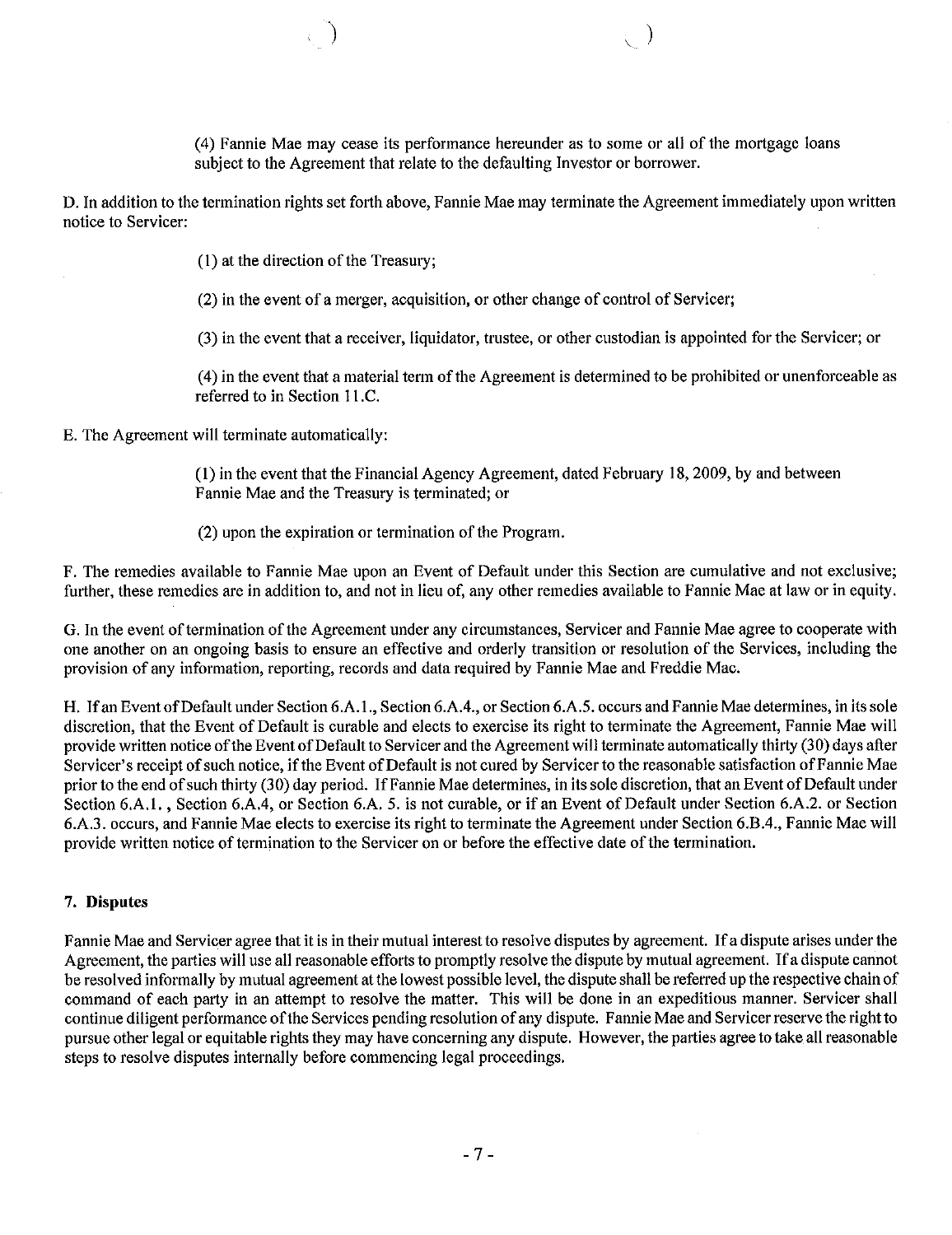(4) Fannie Mae may cease its performance hereunder as to some or all of the mortgage loans subject to the Agreement that relate to the defaulting Investor or borrower.

 $\overline{\mathcal{C}}$ 

D. In addition to the termination rights set forth above, Fannie Mae may terminate the Agreement immediately upon written notice to Servicer:

 $(1)$  at the direction of the Treasury;

 $(2)$  in the event of a merger, acquisition, or other change of control of Servicer;

(3) in the event that a receiver, liquidator, trustee, or other custodian is appointed for the Servicer; or

(4) in the event that a material term ofthe Agreement is determined to be prohibited or unenforceable as referred to in Section II.C.

E. The Agreement will terminate automatically:

(I) in the event that the Financial Agency Agreement, dated February 18,2009, by and between Fannie Mae and the Treasury is terminated; or

(2) upon the expiration or termination of the Program.

F. The remedies available to Fannie Mae upon an Event of Default under this Section are cumulative and not exclusive; further, these remedies are in addition to, and not in lieu of, any other remedies available to Fannie Mae at law or in equity.

G. In the event of termination of the Agreement under any circumstances, Servicer and Fannie Mae agree to cooperate with one another on an ongoing basis to ensure an effective and orderly transition or resolution of the Services, including the provision of any information, reporting, records and data required by Fannie Mae and Freddie Mac.

H. If an Event of Default under Section 6.A.1., Section 6.A.4., or Section 6.A.5. occurs and Fannie Mae determines, in its sole discretion, that the Event of Default is curable and elects to exercise its right to terminate the Agreement, Fannie Mae will provide written notice of the Event of Default to Servicer and the Agreement will terminate automatically thirty (30) days after Servicer's receipt of such notice, if the Event of Default is not cured by Servicer to the reasonable satisfaction of Fannie Mae prior to the end of such thirty (30) day period. If Fannie Mae determines, in its sole discretion, that an Event of Default under Section 6.A.1., Section 6.A.4, or Section 6.A. 5. is not curable, or if an Event of Default under Section 6.A.2. or Section 6.A.3. occurs, and Fannie Mae elects to exercise its right to terminate the Agreement under Section 6.B.4., Fannie Mae will provide written notice of termination to the Servicer on or before the effective date of the termination.

#### 7. Disputes

Fannie Mae and Servicer agree that it is in their mutual interest to resolve disputes by agreement. If a dispute arises under the Agreement, the parties will use all reasonable efforts to promptly resolve the dispute by mutual agreement. If a dispute cannot be resolved informally by mutual agreement atthe lowest possible level, the dispute shall be referred up the respective chain of command of each party in an attempt to resolve the matter. This will be done in an expeditious manner. Servicer shall continue diligent performance ofthe Services pending resolution of any dispute. Fannie Mae and Servicer reserve the right to pursue other legal or equitable rights they may have concerning any dispute. However, the parties agree to take all reasonable steps to resolve disputes internally before commencing legal proceedings.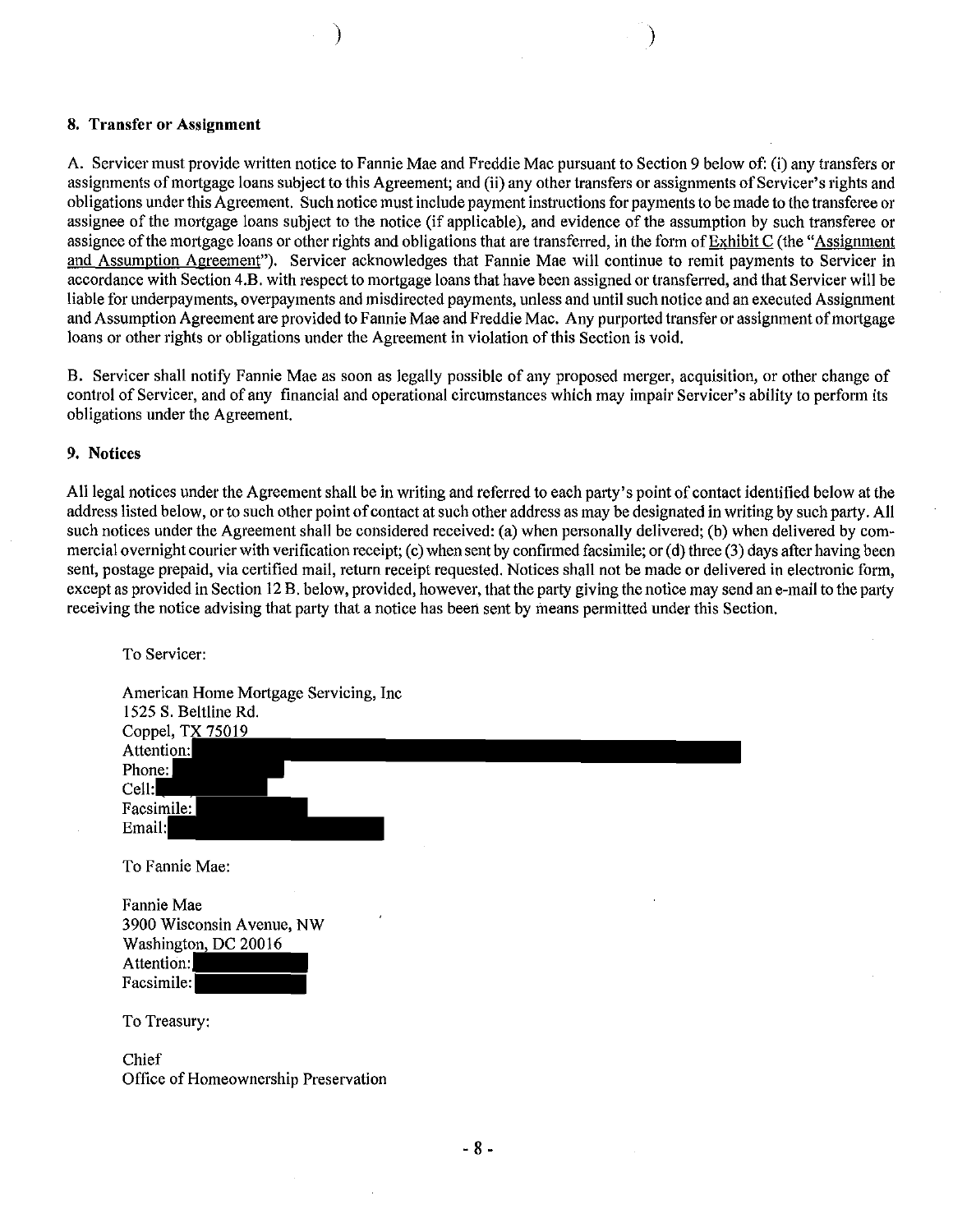#### 8. Transfer or Assignment

A. Servicer must provide written notice to Fannie Mae and Freddie Mac pursuant to Section 9 below of: (i) any transfers or assignments of mortgage loans subject to this Agreement; and (ii) any other transfers or assignments of Servicer's rights and obligations under this Agreement. Such notice must include payment instructions for paymentsto be made to the transferee or assignee of the mortgage loans subject to the notice (if applicable), and evidence of the assumption by such transferee or assignee of the mortgage loans or other rights and obligations that are transferred, in the form of Exhibit C (the "Assignment and Assumption Agreement"). Servicer acknowledges that Fannie Mae will continue to remit payments to Servicer in accordance with Section 4.B. with respect to mortgage loans that have been assigned or transferred, and that Servicer will be liable for underpayments, overpayments and misdirected payments, unless and until such notice and an executed Assignment and Assumption Agreement are provided to Fannie Mae and Freddie Mac. Any purported transfer or assignment ofmortgage loans or other rights or obligations under the Agreement in violation ofthis Section is void.

) and the contract of  $\mathcal{N}$  (  $\mathcal{N}$  ) and  $\mathcal{N}$ 

B. Servicer shall notify Fannie Mae as soon as legally possible of any proposed merger, acquisition, or other change of control of Servicer, and of any financial and operational circumstances which may impair Servicer's ability to perform its obligations under the Agreement.

#### 9. Notices

All legal notices under the Agreement shall be in writing and referred to each party's point of contact identified below at the address listed below, orto such other point of contact at such other address as may be designated in writing by such party. All such notices under the Agreement shall be considered received: (a) when personally delivered; (b) when delivered by commercial overnight courier with verification receipt; (c) when sent by confirmed facsimile; or (d) three (3) days after having been sent, postage prepaid, via certified mail, return receipt requested. Notices shall not be made or delivered in electronic form, except as provided in Section 12 B. below, provided, however, that the party giving the notice may send an e-mail to the party receiving the notice advising that party that a notice has been sent by means permitted under this Section.

To Servicer: American Home Mortgage Servicing, Inc 1525 S. Beltline Rd. Coppel, TX 75019 Attention: Phone: Cell: Facsimile: Email: To Fannie Mae: Fannie Mae

| r annie iviae             |  |
|---------------------------|--|
| 3900 Wisconsin Avenue, NW |  |
| Washington, DC 20016      |  |
| Attention:                |  |
| Facsimile:                |  |

To Treasury:

Chief Office of Homeownership Preservation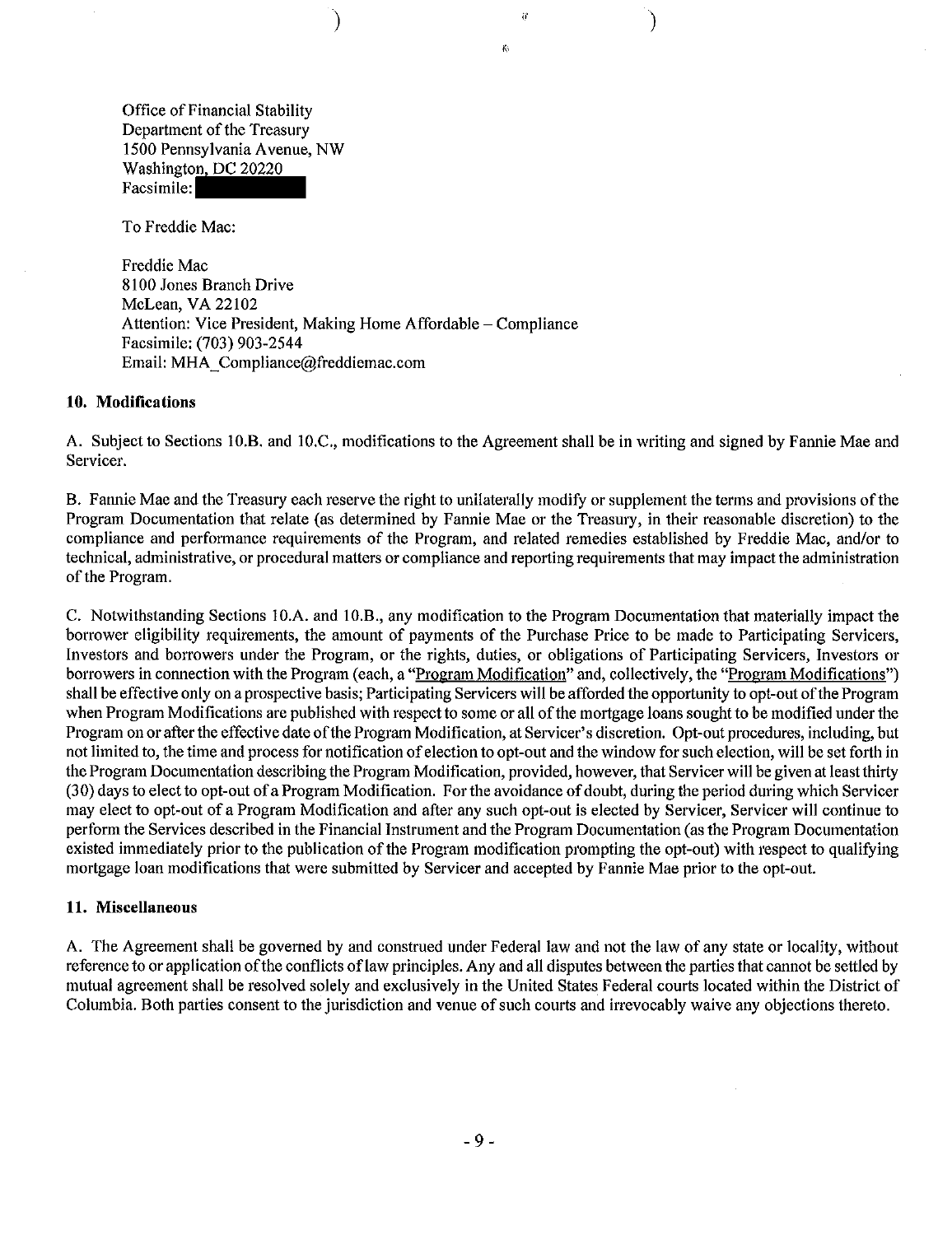Office of Financial Stability Department of the Treasury 1500 Pennsylvania Avenue, NW Washington, DC 20220 Facsimile:

To Freddie Mac:

Freddie Mac 8100 Jones Branch Drive McLean, VA 22102 Attention: Vice President, Making Home Affordable - Compliance Facsimile: (703) 903-2544 Email: MHA\_Compliance@freddiemac.com

)

#### **10. Modifications**

A. Subject to Sections IO.B. and IO.C., modifications to the Agreement shall be in writing and signed by Fannie Mae and Servicer.

"

 $\ddot{\theta}$ 

)

B. Fannie Mae and the Treasury each reserve the right to unilaterally modify or supplement the terms and provisions ofthe Program Documentation that relate (as determined by Fannie Mae or the Treasury, in their reasonable discretion) to the compliance and performance requirements of the Program, and related remedies established by Freddie Mac, and/or to technical, administrative, or procedural matters or compliance and reporting requirements that may impact the administration of the Program.

C. Notwithstanding Sections IO.A. and 10.B., any modification to the Program Documentation that materially impact the borrower eligibility requirements, the amount of payments of the Purchase Price to be made to Participating Servicers, Investors and borrowers under the Program, or the rights, duties, or obligations of Participating Servicers, Investors or borrowers in connection with the Program (each, a "Program Modification" and, collectively, the "Program Modifications") shall be effective only on a prospective basis; Participating Servicers will be afforded the opportunity to opt-out of the Program when Program Modifications are published with respect to some or all ofthe mortgage loans sought to be modified under the Program on or after the effective date of the Program Modification, at Servicer's discretion. Opt-out procedures, including, but not limited to, the time and process for notification of election to opt-out and the window for such election, will be set forth in the Program Documentation describing the Program Modification, provided, however, that Servicer will be given at least thirty (30) days to elect to opt-out of a Program Modification. For the avoidance of doubt, during the period during which Servicer may elect to opt-out of a Program Modification and after any such opt-out is elected by Servicer, Servicer will continue to perform the Services described in the Financial Instrument and the Program Documentation (as the Program Documentation existed immediately prior to the publication ofthe Program modification prompting the opt-out) with respect to qualifying mortgage loan modifications that were submitted by Servicer and accepted by Fannie Mae prior to the opt-out.

#### **11. Miscellaneous**

A. The Agreement shall be governed by and construed under Federal law and not the law of any state or locality, without reference to or application of the conflicts of law principles. Any and all disputes between the parties that cannot be settled by mutual agreement shall be resolved solely and exclusively in the United States Federal courts located within the District of Columbia. Both parties consent to the jurisdiction and venue of such courts and irrevocably waive any objections thereto.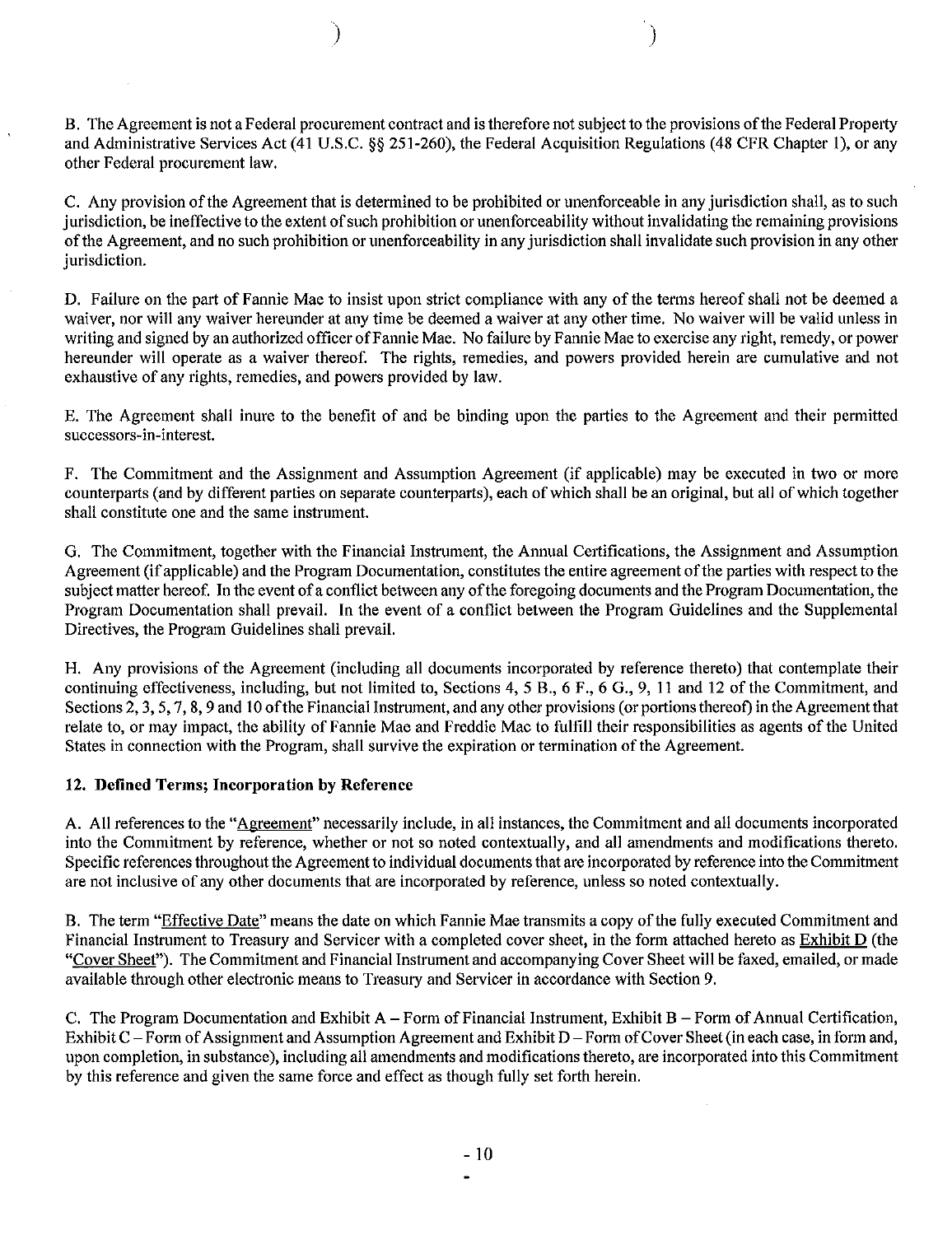B. The Agreement is not a Federal procurement contract and is therefore not subject to the provisions of the Federal Property and Administrative Services Act (41 U.S.C. §§ 251-260), the Federal Acquisition Regulations (48 CFR Chapter I), or any other Federal procurement law.

) and the contract of  $\mathcal{O}(n)$ 

C. Any provision of the Agreement that is determined to be prohibited or unenforceable in any jurisdiction shall, as to such jurisdiction, be ineffective to the extent of such prohibition or unenforceability without invalidating the remaining provisions ofthe Agreement, and no such prohibition or unenforceability in any jurisdiction shail invalidate such provision in any other jurisdiction.

D. Failure on the part of Fannie Mae to insist upon strict compliance with any of the terms hereof shail not be deemed a waiver, nor will any waiver hereunder at any time be deemed a waiver at any other time. No waiver will be valid unless in writing and signed by an authorized officer of Fannie Mae. No failure by Fannie Mae to exercise any right, remedy, or power hereunder will operate as a waiver thereof. The rights, remedies, and powers provided herein are cumulative and not exhaustive of any rights, remedies, and powers provided by law.

E. The Agreement shail inure to the benefit of and be binding upon the parties to the Agreement and their permitted successors-in-interest.

F. The Commitment and the Assignment and Assumption Agreement (if applicable) may be executed in two or more counterparts (and by different parties on separate counterparts), each of which shall be an original, but all of which together shall constitute one and the same instrument.

G. The Commitment, together with the Financial Instrument, the Annual Certifications, the Assignment and Assumption Agreement (if applicable) and the Program Documentation, constitutes the entire agreement of the parties with respect to the subject matter hereof. In the event of a conflict between any of the foregoing documents and the Program Documentation, the Program Documentation shail prevail. In the event of a conflict between the Program Guidelines and the Supplemental Directives, the Program Guidelines shail prevail.

H. Any provisions of the Agreement (including ail documents incorporated by reference thereto) that contemplate their continuing effectiveness, including, but not limited to, Sections 4, 5 B., 6 F., 6 G., 9, II and 12 of the Commitment, and Sections  $2, 3, 5, 7, 8, 9$  and 10 of the Financial Instrument, and any other provisions (or portions thereof) in the Agreement that relate to, or may impact, the ability of Fannie Mae and Freddie Mac to fulfiil their responsibilities as agents ofthe United States in connection with the Program, shall survive the expiration or termination of the Agreement.

#### 12. Defined Terms; Incorporation by Reference

A. All references to the "Agreement" necessarily include, in all instances, the Commitment and all documents incorporated into the Commitment by reference, whether or not so noted contextuaily, and ail amendments and modifications thereto. Specific references throughout the Agreement to individual documents that are incorporated by reference into the Commitment are not inclusive of any other documents that are incorporated by reference, unless so noted contextuaily.

B. The term "Effective Date" means the date on which Fannie Mae transmits a copy of the fully executed Commitment and Financial Instrument to Treasury and Servicer with a completed cover sheet, in the form attached hereto as Exhibit D (the "Cover Sheet"). The Commitment and Financial Instrument and accompanying Cover Sheet will be faxed, emailed, or made available through other electronic means to Treasury and Servicer in accordance with Section 9.

C. The Program Documentation and Exhibit A - Form of Financial Instrument, Exhibit B - Form of Annual Certification, Exhibit C - Form of Assignment and Assumption Agreement and Exhibit D - Form of Cover Sheet (in each case, in form and, upon completion, in substance), including ail amendments and modifications thereto, are incorporated into this Commitment by this reference and given the same force and effect as though fuily set forth herein.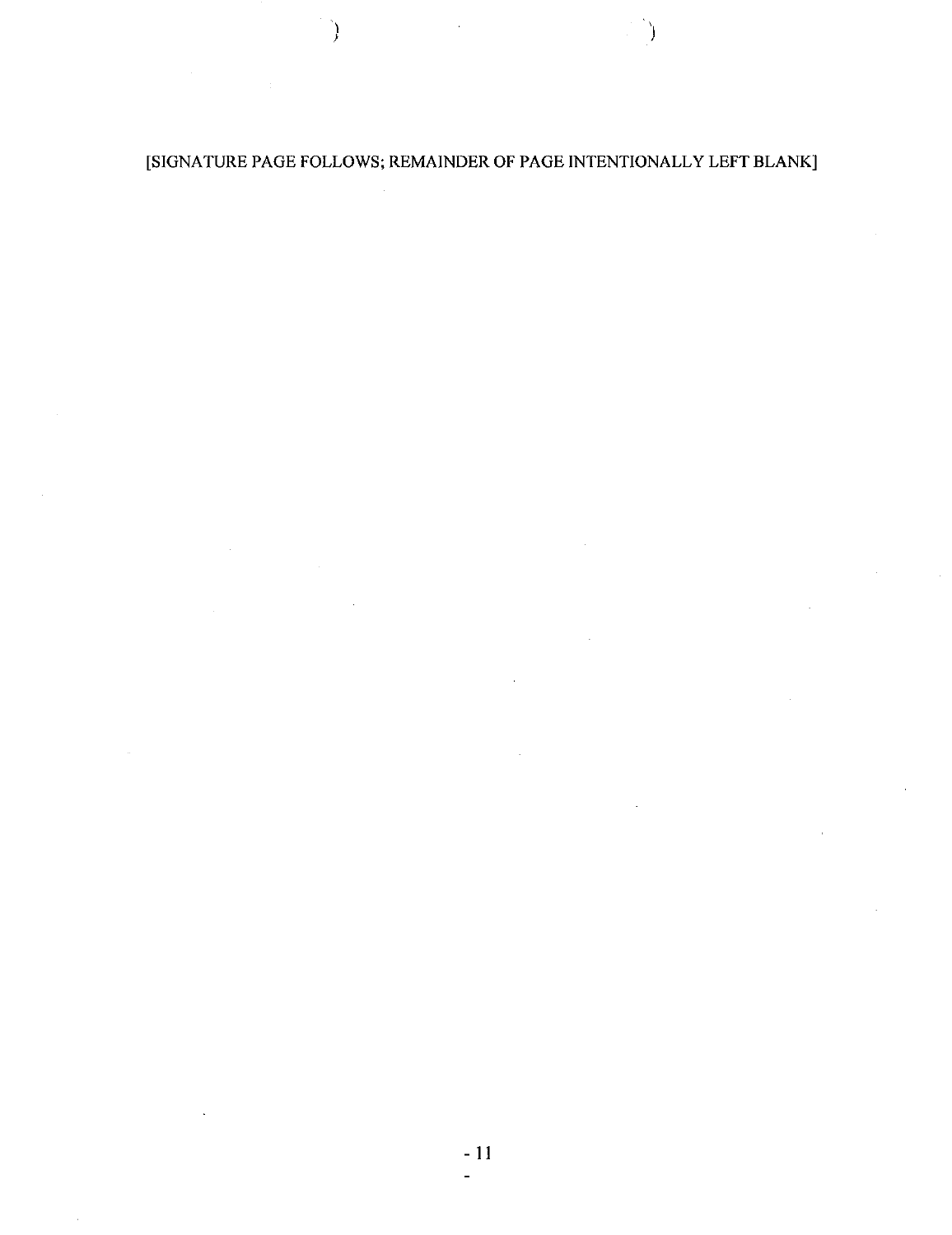## [SIGNATURE PAGE FOLLOWS; REMAINDER OF PAGE INTENTIONALLY LEFT BLANK]

- 1

\ )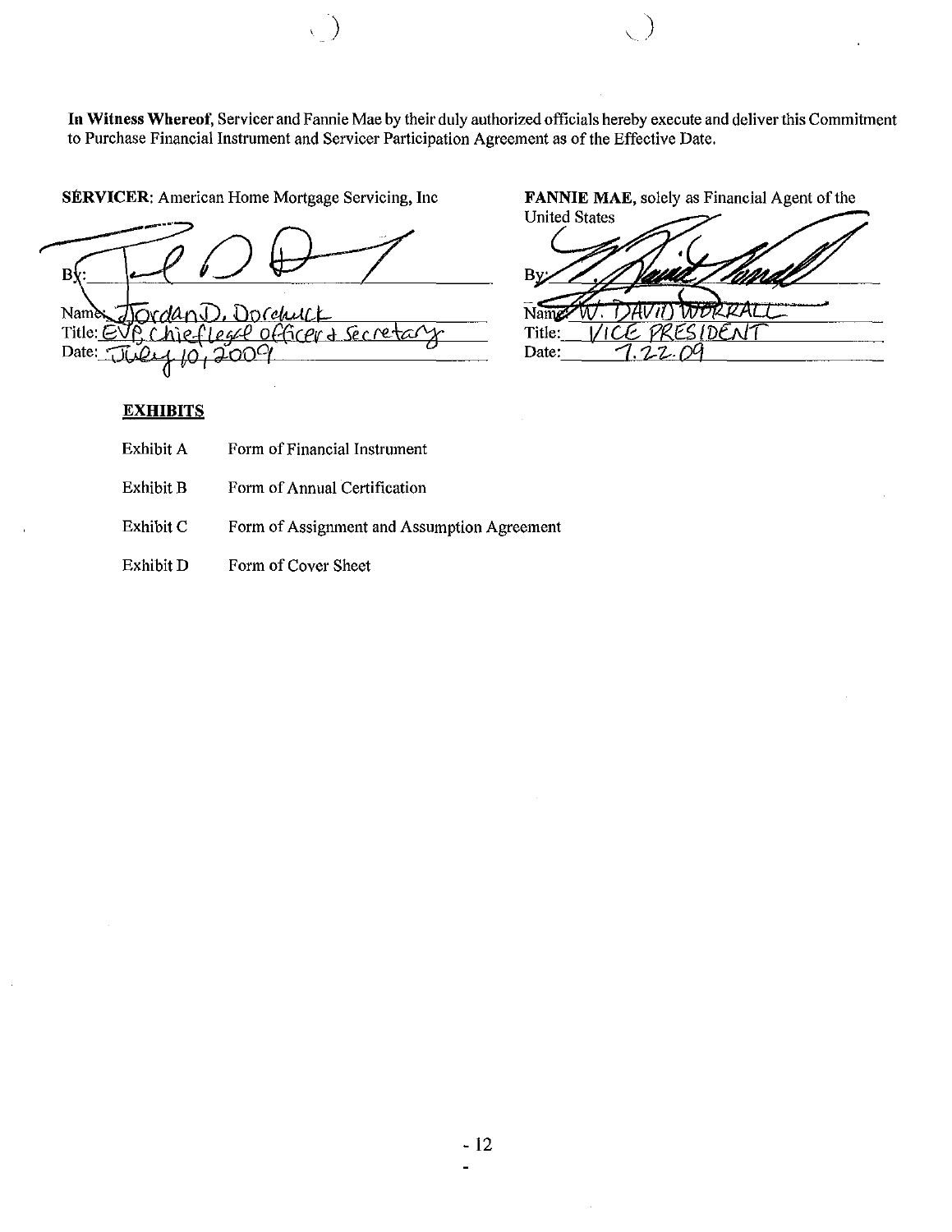**In** Witness Whereof, Servicer and Fannie Mae by their duly authorized officials hereby execute and deliver this Commitment to Purchase Financial Instrument and Servicer Participation Agreement as of the Effective Date.

 $\bigcup$ 

SERVICER: American Home Mortgage Servicing, Inc

 $\mathbf{B}$ Name ovdan Dorchurk Title: EVP Chieflesse officer & Secret Date: Ω OL Y

#### **EXHIBITS**

- Exhibit A Form of Financial Instrument
- Exhibit B Form of Annual Certification

Exhibit C Form of Assignment and Assumption Agreement

Exhibit D Form of Cover Sheet FANNIE MAE, solely as Financial Agent of the

United States By  $N_{\text{amp}}/N$ : DAVII) WORRA<br>Title:  $VICE$  PRESIDEN  $IDENF$ Date: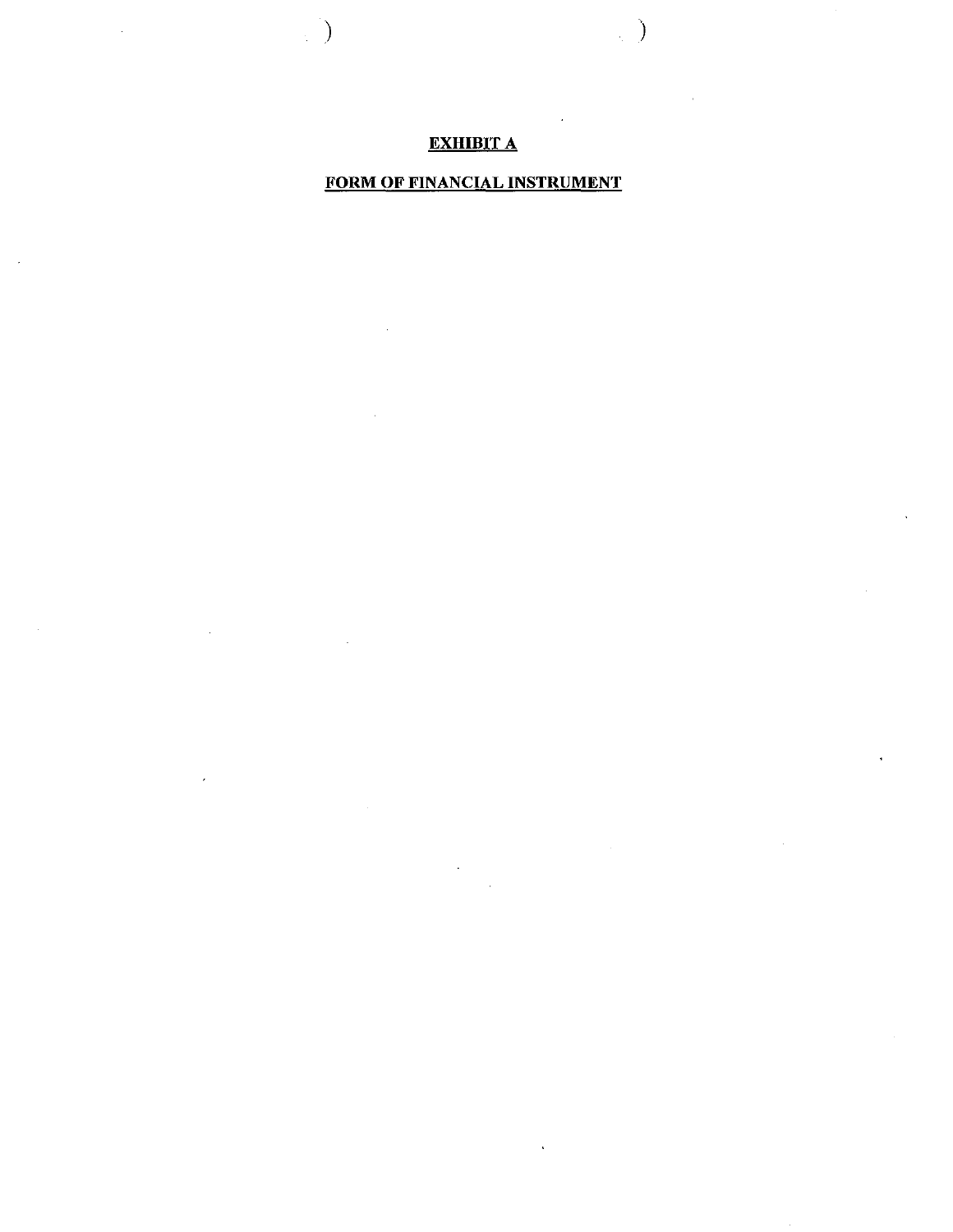## EXHIBIT A

 $\begin{pmatrix} 1 \\ 1 \end{pmatrix}$ 

)

## FORM OF FINANCIAL INSTRUMENT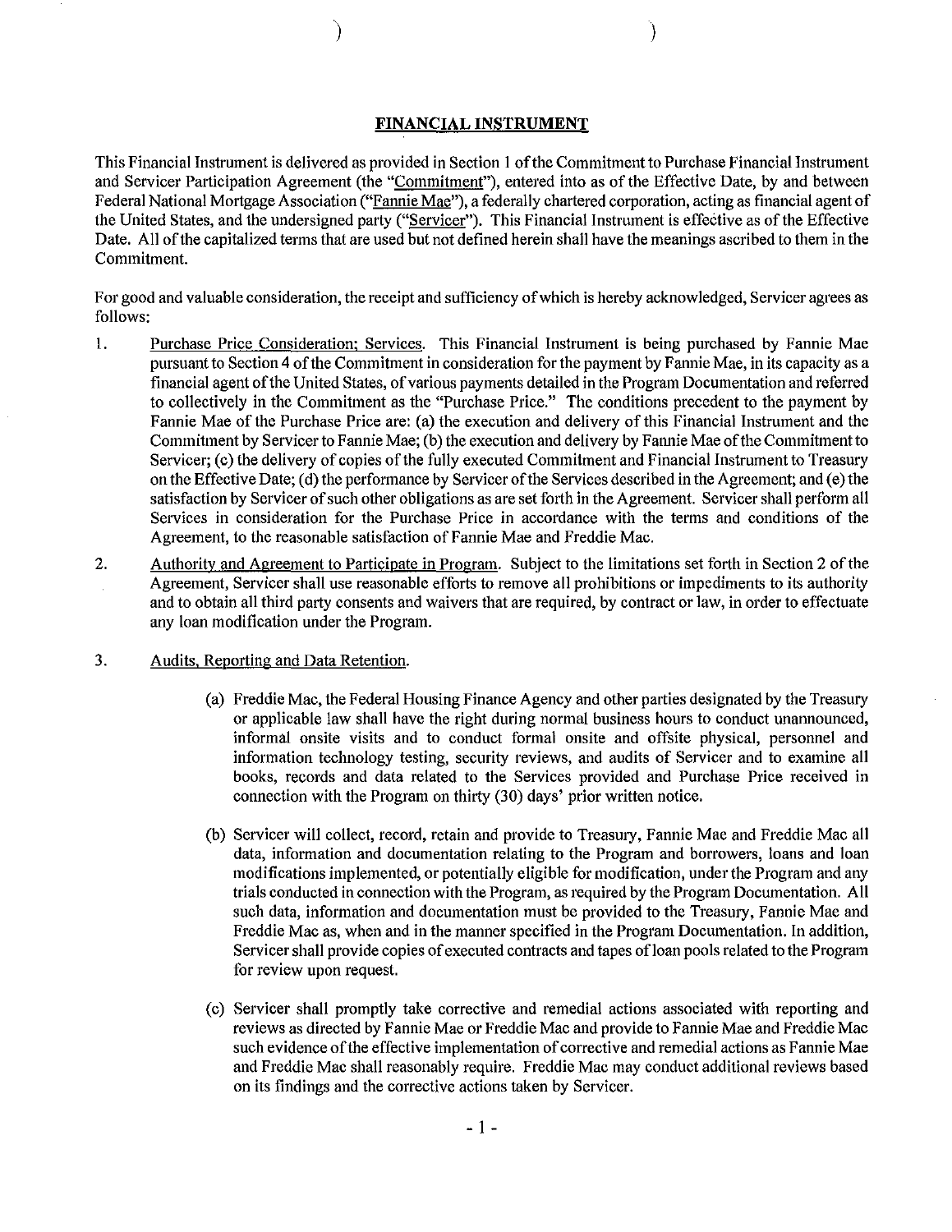#### **FINANCIAL INSTRUMENT**

)

)

This Financial Instrument is delivered as provided in Section 1 ofthe Commitment to Purchase Financial Instrument and Servicer Participation Agreement (the "Commitment"), entered into as of the Effective Date, by and between Federal National Mortgage Association ("Fannie Mae"), a federally chartered corporation, acting as financial agent of the United States, and the undersigned party ("Servicer"). This Financial Instrument is effective as ofthe Effective Date. All of the capitalized terms that are used but not defined herein shall have the meanings ascribed to them in the Commitment.

For good and valuable consideration, the receipt and sufficiency ofwhich is hereby acknowledged, Servicer agrees as follows:

- 1. Purchase Price Consideration: Services. This Financial Instrument is being purchased by Fannie Mae pursuant to Section 4 ofthe Commitment in consideration for the payment by Fannie Mae, in its capacity as a financial agent ofthe United States, ofvarious payments detailed in the Program Documentation and referred to collectively in the Commitment as the "Purchase Price." The conditions precedent to the payment by Fannie Mae of the Purchase Price are: (a) the execution and delivery of this Financial Instrument and the Commitment by Servicer to Fannie Mae; (b) the execution and delivery by Fannie Mae of the Commitment to Servicer; (c) the delivery of copies of the fully executed Commitment and Financial Instrument to Treasury on the Effective Date; (d) the performance by Servicer of the Services described in the Agreement; and (e) the satisfaction by Servicer of such other obligations as are set forth in the Agreement. Servicer shall perform all Services in consideration for the Purchase Price in accordance with the terms and conditions of the Agreement, to the reasonable satisfaction of Fannie Mae and Freddie Mac.
- 2. Authority and Agreement to Participate in Program. Subject to the limitations set forth in Section 2 of the Agreement, Servicer shall use reasonable efforts to remove all prohibitions or impediments to its authority and to obtain all third party consents and waivers that are required, by contract or law, in order to effectuate any loan modification under the Program.

#### 3. Audits, Reporting and Data Retention.

- (a) Freddie Mac, the Federal Housing Finance Agency and other parties designated by the Treasury or applicable law shall have the right during normal business hours to conduct unannounced, informal onsite visits and to conduct formal onsite and offsite physical, personnel and information technology testing, security reviews, and audits of Servicer and to examine all books, records and data related to the Services provided and Purchase Price received in connection with the Program on thirty (30) days' prior written notice.
- (b) Servicer will collect, record, retain and provide to Treasury, Fannie Mae and Freddie Mac all data, information and documentation relating to the Program and borrowers, loans and loan modifications implemented, or potentially eligible for modification, underthe Program and any trials conducted in connection with the Program, as required by the Program Documentation. All such data, information and documentation must be provided to the Treasury, Fannie Mae and Freddie Mac as, when and in the manner specified in the Program Documentation. In addition, Servicer shall provide copies of executed contracts and tapes of loan pools related to the Program for review upon request.
- (c) Servicer shall promptly take corrective and remedial actions associated with reporting and reviews as directed by Fannie Mae or Freddie Mac and provide to Fannie Mae and Freddie Mac such evidence of the effective implementation of corrective and remedial actions as Fannie Mae and Freddie Mac shall reasonably require. Freddie Mac may conduct additional reviews based on its findings and the corrective actions taken by Servicer.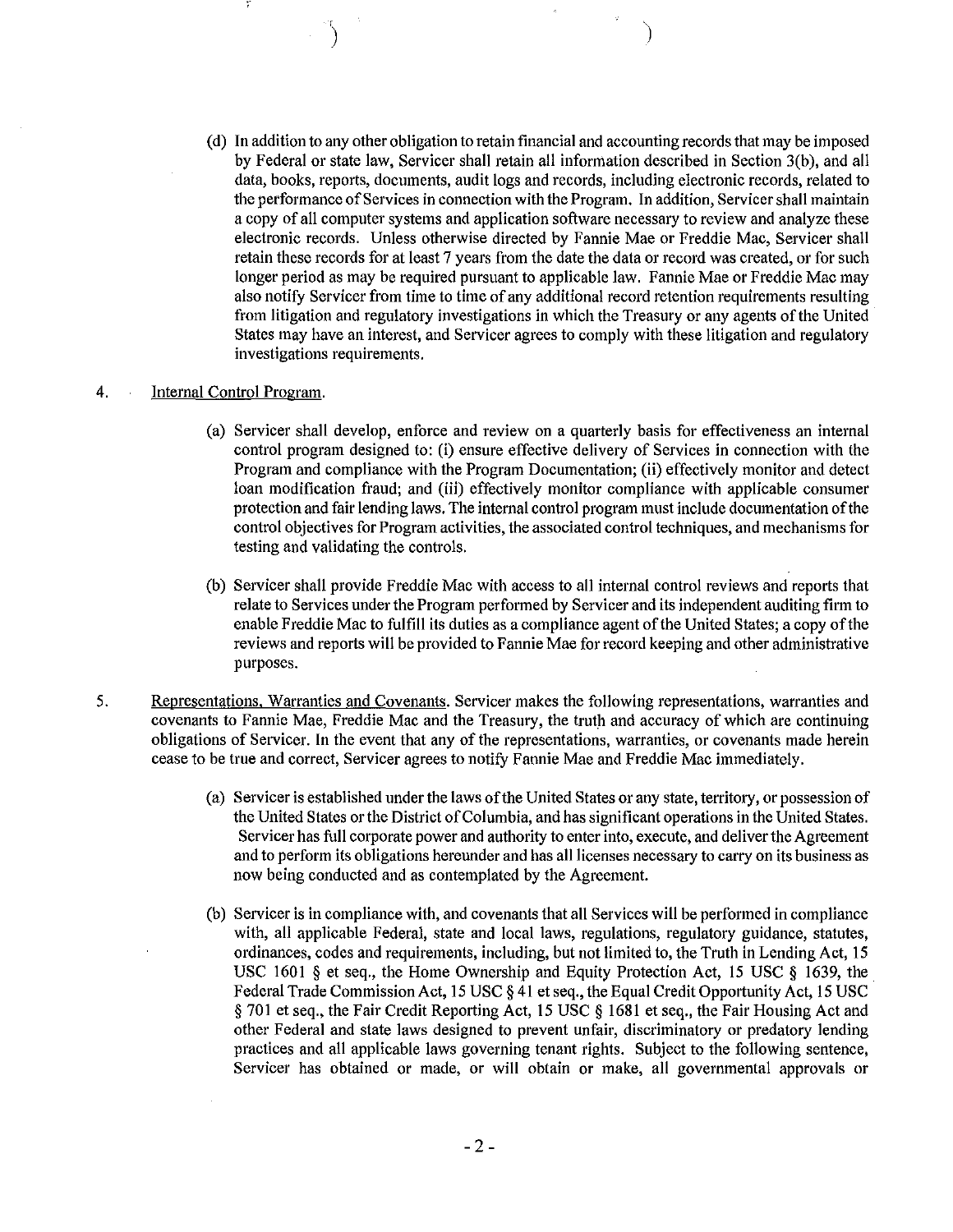(d) **In** addition to any other obligation to retain financial and accounting records that may be imposed by Federal or state law, Servicer shall retain all information described in Section 3(b), and all data, books, reports, documents, audit logs and records, including electronic records, related to the performance ofServices in connection with the Program. **In** addition, Servicershall maintain a copy of all computer systems and application software necessary to review and analyze these electronic records. Unless otherwise directed by Fannie Mae or Freddie Mac, Servicer shall retain these records for at least 7 years from the date the data or record was created, or for such longer period as may be required pursuant to applicable law. Fannie Mae or Freddie Mac may also notify Servicer from time to time of any additional record retention requirements resulting from litigation and regulatory investigations in which the Treasury or any agents ofthe United States may have an interest, and Servicer agrees to comply with these litigation and regulatory investigations requirements.

#### 4. Internal Control Program.

- (a) Servicer shall develop, enforce and review on a quarterly basis for effectiveness an internal control program designed to: (i) ensure effective delivery of Services in connection with the Program and compliance with the Program Documentation; (ii) effectively monitor and detect loan modification fraud; and (iii) effectively monitor compliance with applicable consumer protection and fair lending laws. The internal control program must include documentation ofthe control objectives for Program activities, the associated control techniques, and mechanisms for testing and validating the controls.
- (b) Servicer shall provide Freddie Mac with access to all internal control reviews and reports that relate to Services under the Program performed by Servicer and its independent auditing firm to enable Freddie Mac to fulfill its duties as a compliance agent of the United States; a copy of the reviews and reports will be provided to Fannie Mae for record keeping and other administrative purposes.
- 5. Representations, Warranties and Covenants. Servicer makes the following representations, warranties and covenants to Fannie Mae, Freddie Mac and the Treasury, the truth and accuracy of which are continuing obligations of Servicer. **In** the event that any of the representations, warranties, or covenants made herein cease to be true and correct, Servicer agrees to notify Fannie Mae and Freddie Mac immediately.
	- (a) Servicer is established under the laws ofthe United States or any state, territory, or possession of the United States orthe District ofColumbia, and has significant operations in the United States. Servicer has full corporate power and authority to enter into, execute, and deliver the Agreement and to perform its obligations hereunder and has all licenses necessary to carry on its business as now being conducted and as contemplated by the Agreement.
	- (b) Servicer is in compliance with, and covenants that all Services will be performed in compliance with, all applicable Federal, state and local laws, regulations, regulatory guidance, statutes, ordinances, codes and requirements, including, but not limited to, the Truth in Lending Act, 15 USC 1601 § et seq., the Home Ownership and Equity Protection Act, 15 USC § 1639, the Federal Trade Commission Act, 15 USC § 41 et seq., the Equal Credit Opportunity Act, IS USC § 701 et seq., the Fair Credit Reporting Act, IS USC § 1681 et seq., the Fair Housing Act and other Federal and state laws designed to prevent unfair, discriminatory or predatory lending practices and all applicable laws governing tenant rights. Subject to the following sentence, Servicer has obtained or made, or will obtain or make, all governmental approvals or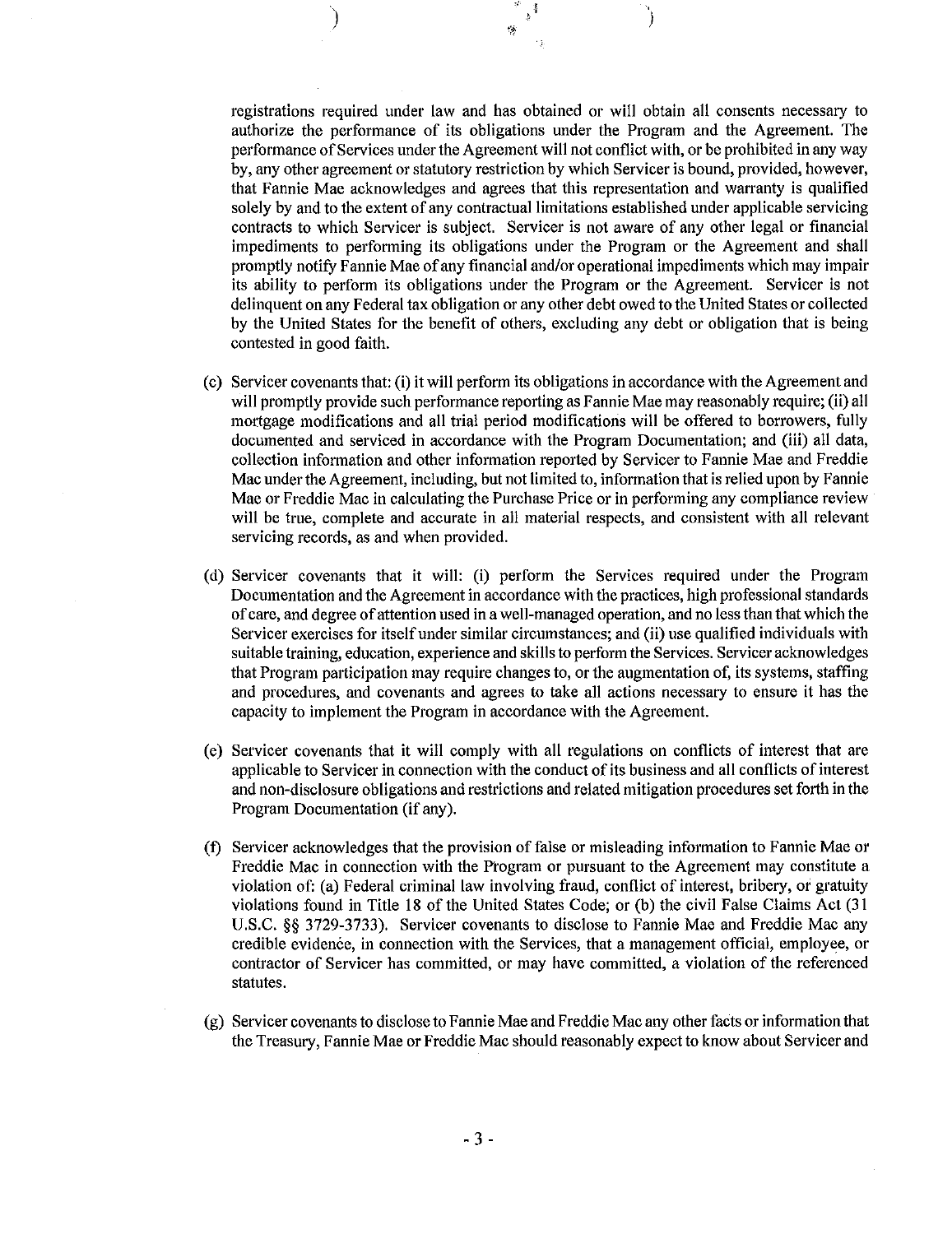registrations required under law and has obtained or will obtain all consents necessary to authorize the performance of its obligations under the Program and the Agreement. The performance ofServices under the Agreement will not conflict with, or be prohibited in any way by, any other agreement or statutory restriction by which Servicer is bound, provided, however, that Fannie Mae acknowledges and agrees that this representation and warranty is qualified solely by and to the extent of any contractual limitations established under applicable servicing contracts to which Servicer is subject. Servicer is not aware of any other legal or financial impediments to performing its obligations under the Program or the Agreement and shall promptly notify Fannie Mae of any financial and/or operational impediments which may impair its ability to perform its obligations under the Program or the Agreement. Servicer is not delinquent on any Federal tax obligation or any other debt owed to the United States or collected by the United States for the benefit of others, excluding any debt or obligation that is being contested in good faith.

I

'>

) and  $\sum_{\alpha=1}^{\infty}$ 

- $(c)$  Servicer covenants that: (i) it will perform its obligations in accordance with the Agreement and will promptly provide such performance reporting as Fannie Mae may reasonably require; (ii) all mortgage modifications and all trial period modifications will be offered to borrowers, fully documented and serviced in accordance with the Program Documentation; and (iii) all data, collection information and other information reported by Servicer to Fannie Mae and Freddie Mac under the Agreement, including, but not limited to, information that is relied upon by Fannie Mae or Freddie Mac in calculating the Purchase Price or in performing any compliance review will be true, complete and accurate in all material respects, and consistent with all relevant servicing records, as and when provided.
- (d) Servicer covenants that it will: (i) perform the Services required under the Program Documentation and the Agreement in accordance with the practices, high professional standards of care, and degree ofattention used in a well-managed operation, and no less than that which the Servicer exercises for itself under similar circumstances; and (ii) use qualified individuals with suitable training, education, experience and skills to perform the Services. Servicer acknowledges that Program participation may require changes to, or the augmentation of, its systems, staffing and procedures, and covenants and agrees to take all actions necessary to ensure it has the capacity to implement the Program in accordance with the Agreement.
- (e) Servicer covenants that it will comply with all regulations on conflicts of interest that are applicable to Servicer in connection with the conduct of its business and all conflicts of interest and non-disclosure obligations and restrictions and related mitigation procedures set forth in the Program Documentation (if any).
- (f) Servicer acknowledges that the provision of false or misleading information to Fannie Mae or Freddie Mac in connection with the Program or pursuant to the Agreement may constitute a violation of: (a) Federal criminal law involving fraud, conflict of interest, bribery, or gratuity violations found in Title 18 of the United States Code; or  $(b)$  the civil False Claims Act  $(31)$ U.S.C. §§ 3729-3733). Servicer covenants to disclose to Fannie Mae and Freddie Mac any credible evidence, in connection with the Services, that a management official, employee, or contractor of Servicer has committed, or may have committed, a violation of the referenced statutes.
- $(g)$  Servicer covenants to disclose to Fannie Mae and Freddie Mac any other facts or information that the Treasury, Fannie Mae or Freddie Mac should reasonably expect to know about Servicer and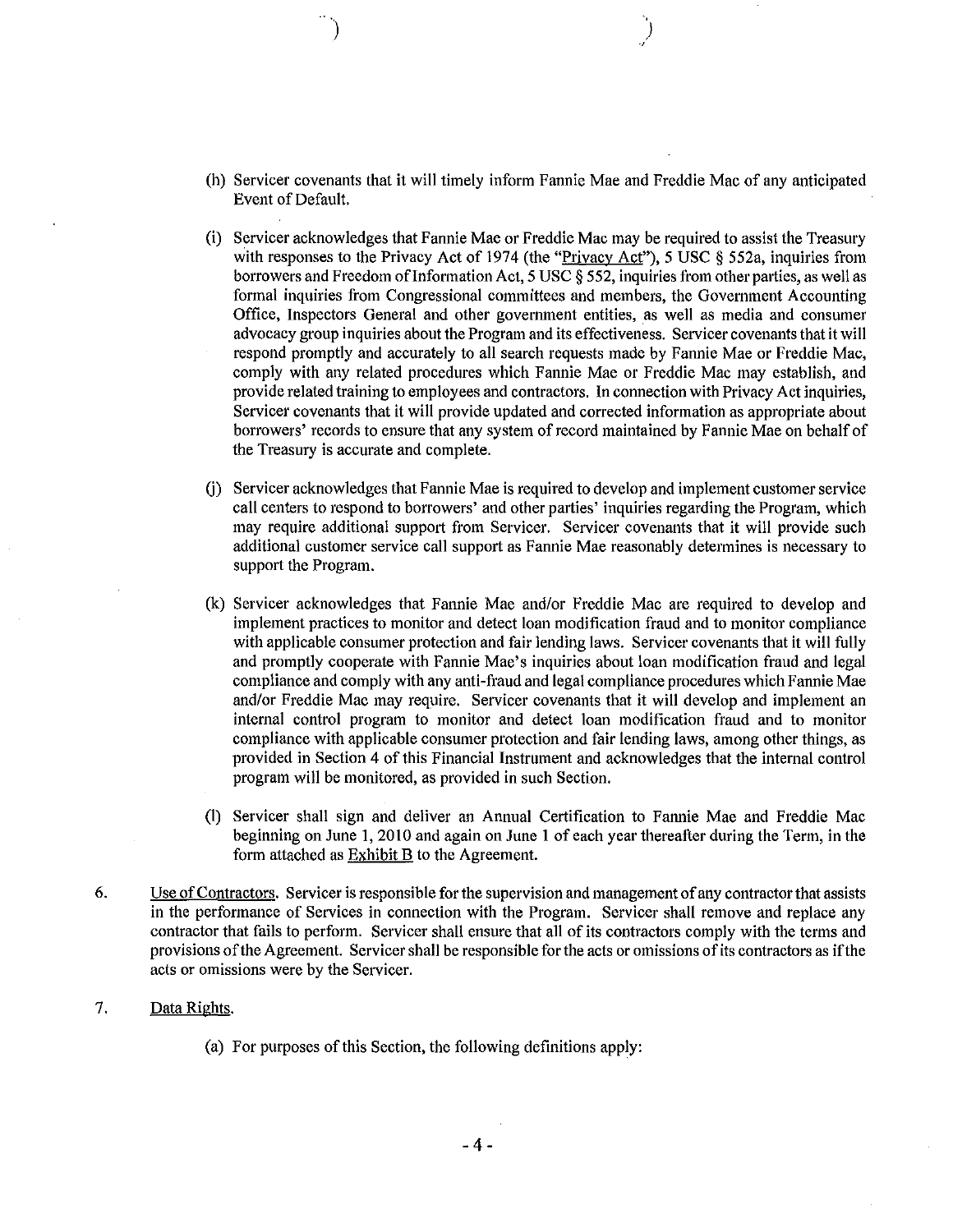(h) Servicer covenants that it will timely inform Fannie Mae and Freddie Mac of any anticipated Event of Default.

ا<br>)<br>)

- (I) Servicer acknowledges that Fannie Mae or Freddie Mac may be required to assist the Treasury with responses to the Privacy Act of 1974 (the "Privacy Act"), 5 USC § 552a, inquiries from borrowers and Freedom oflnformation Act, 5 USC § 552, inquiries from other parties, as well as formal inquiries from Congressional committees and members, the Government Accounting Office, Inspectors General and other government entities, as well as media and consumer advocacy group inquiries about the Program and its effectiveness. Servicer covenants that it will respond promptly and accurately to all search requests made by Fannie Mae or Freddie Mac, comply with any related procedures which Fannie Mae or Freddie Mac may establish, and provide related training to employees and contractors. **In** connection with Privacy Act inquiries, Servicer covenants that it will provide updated and corrected information as appropriate about borrowers' records to ensure that any system of record maintained by Fannie Mae on behalf of the Treasury is accurate and complete.
- G) Servicer acknowledges that Fannie Mae is required to develop and implement customer service call centers to respond to borrowers' and other parties' inquiries regarding the Program, which may require additional support from Servicer. Servicer covenants that it will provide such additional customer service call support as Fannie Mae reasonably determines is necessary to support the Program.
- (k) Servicer acknowledges that Fannie Mae and/or Freddie Mac are required to develop and implement practices to monitor and detect loan modification fraud and to monitor compliance with applicable consumer protection and fair lending laws. Servicer covenants that it will fully and promptly cooperate with Fannie Mae's inquiries about loan modification fraud and legal compliance and comply with any anti-fraud and legal compliance procedures which Fannie Mae and/or Freddie Mac may require. Servicer covenants that it will develop and implement an internal control program to monitor and detect loan modification fraud and to monitor compliance with applicable consumer protection and fair lending laws, among other things, as provided in Section 4 of this Financial Instrument and acknowledges that the internal control program will be monitored, as provided in such Section.
- (I) Servicer shall sign and deliver an Annual Certification to Fannie Mae and Freddie Mac beginning on June 1,2010 and again on June 1 of each year thereafter during the Term, in the form attached as Exhibit B to the Agreement.
- 6. Use of Contractors. Servicer is responsible for the supervision and management of any contractor that assists in the performance of Services in connection with the Program. Servicer shall remove and replace any contractor that fails to perform. Servicer shall ensure that all of its contractors comply with the terms and provisions of the Agreement. Servicer shall be responsible for the acts or omissions of its contractors as if the acts or omissions were by the Servicer.

#### 7. Data Rights.

(a) For purposes of this Section, the following definitions apply: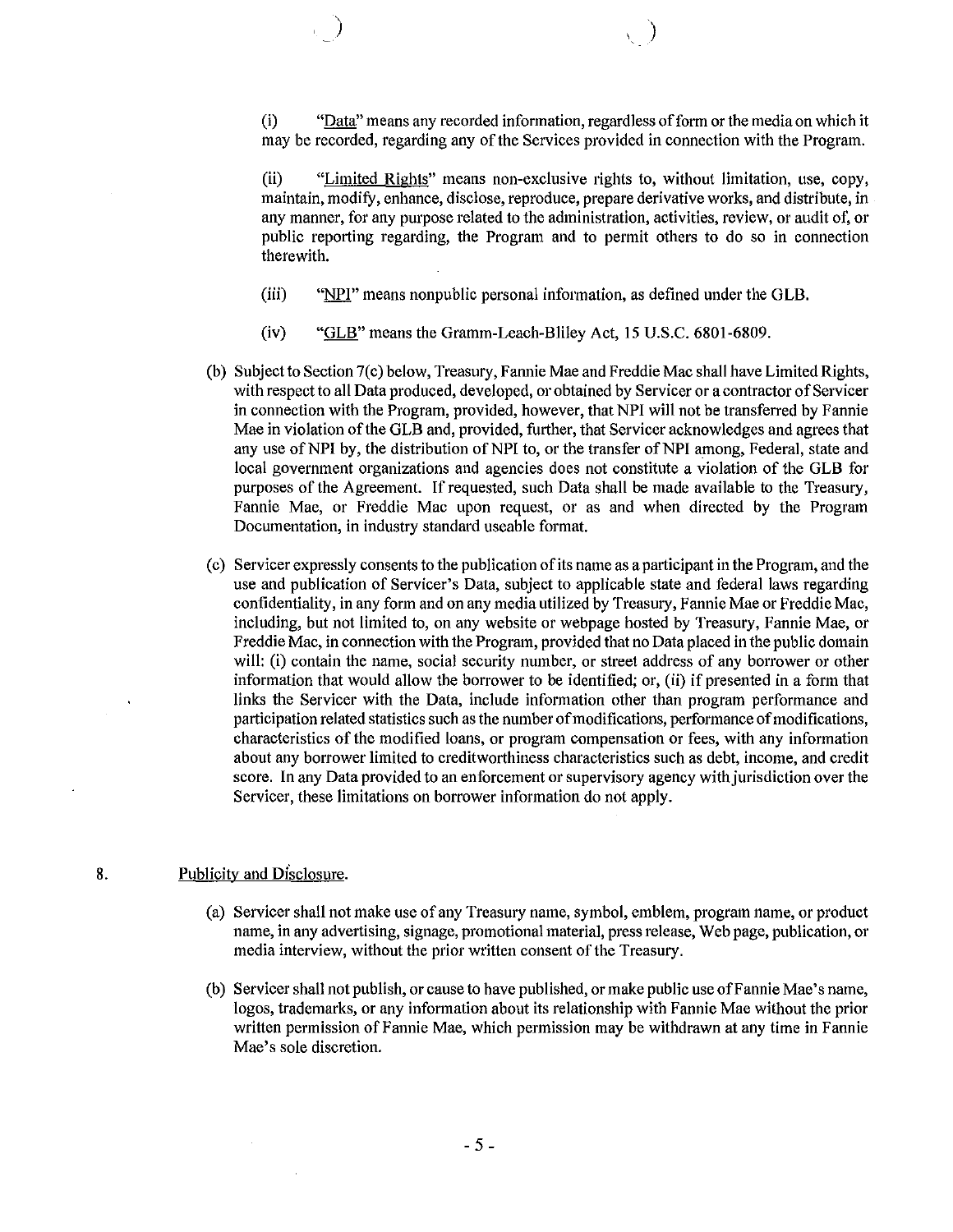(i) "Data" means any recorded information, regardless ofform or the media on which it may be recorded, regarding any of the Services provided in connection with the Program.

(il) "Limited Rights" means non-exclusive rights to, without limitation, use, copy, maintain, modify, enhance, disclose, reproduce, prepare derivative works, and distribute, in any manner, for any purpose related to the administration, activities, review, or audit of, or public reporting regarding, the Program and to permit others to do so in connection therewith.

- (iii) "NPl" means nonpublic personai information, as defined under the GLB.
- (iv) "GLB" means the Gramm-Leach-Bliley Act, 15 U.S.C. 6801-6809.

) and the contract of  $\lambda$  (  $\lambda$  ) and  $\lambda$ 

- (b) Subject to Section 7(c) below, Treasury, Fannie Mae and Freddie Mac shall have Limited Rights, with respect to all Data produced, developed, or obtained by Servicer or a contractor of Servicer in connection with the Program, provided, however, that NPI will not be transferred by Fannie Mae in violation ofthe GLB and, provided, further, that Servicer acknowledges and agrees that any use of NPI by, the distribution of NPI to, or the transfer of NPI among, Federal, state and local government organizations and agencies does not constitute a violation of the GLB for purposes of the Agreement. If requested, such Data shall be made available to the Treasury, Fannie Mae, or Freddie Mac upon request, or as and when directed by the Program Documentation, in industry standard useable format.
- (c) Servicer expressly consents to the publication of its name as a participant in the Program, and the use and publication of Servicer's Data, subject to applicable state and federal laws regarding confidentiality, in any form and on any media utilized by Treasury, Fannie Mae or Freddie Mac, including, but not limited to, on any website or webpage hosted by Treasury, Fannie Mae, or Freddie Mac, in connection with the Program, provided that no Data placed in the public domain will: (i) contain the name, social security number, or street address of any borrower or other information that would allow the borrower to be identified; or, (ii) if presented in a form that links the Servicer with the Data, include information other than program performance and participation related statistics such as the number of modifications, performance of modifications, characteristics of the modified loans, or program compensation or fees, with any information about any borrower limited to creditworthiness characteristics such as debt, income, and credit score. In any Data provided to an enforcement or supervisory agency with jurisdiction over the Servicer, these limitations on borrower information do not apply.

#### 8. Publicity and Disclosure.

- (a) Servicer shall not make use of any Treasury name, symbol, emblem, program name, or product name, in any advertising, signage, promotional material, press release, Web page, publication, or media interview, without the prior written consent of the Treasury.
- (b) Servicer shall not publish, or cause to have published, or make public use ofFannie Mae's name, logos, trademarks, or any information about its relationship with Fannie Mae without the prior written permission of Fannie Mae, which permission may be withdrawn at any time in Fannie Mae's sole discretion.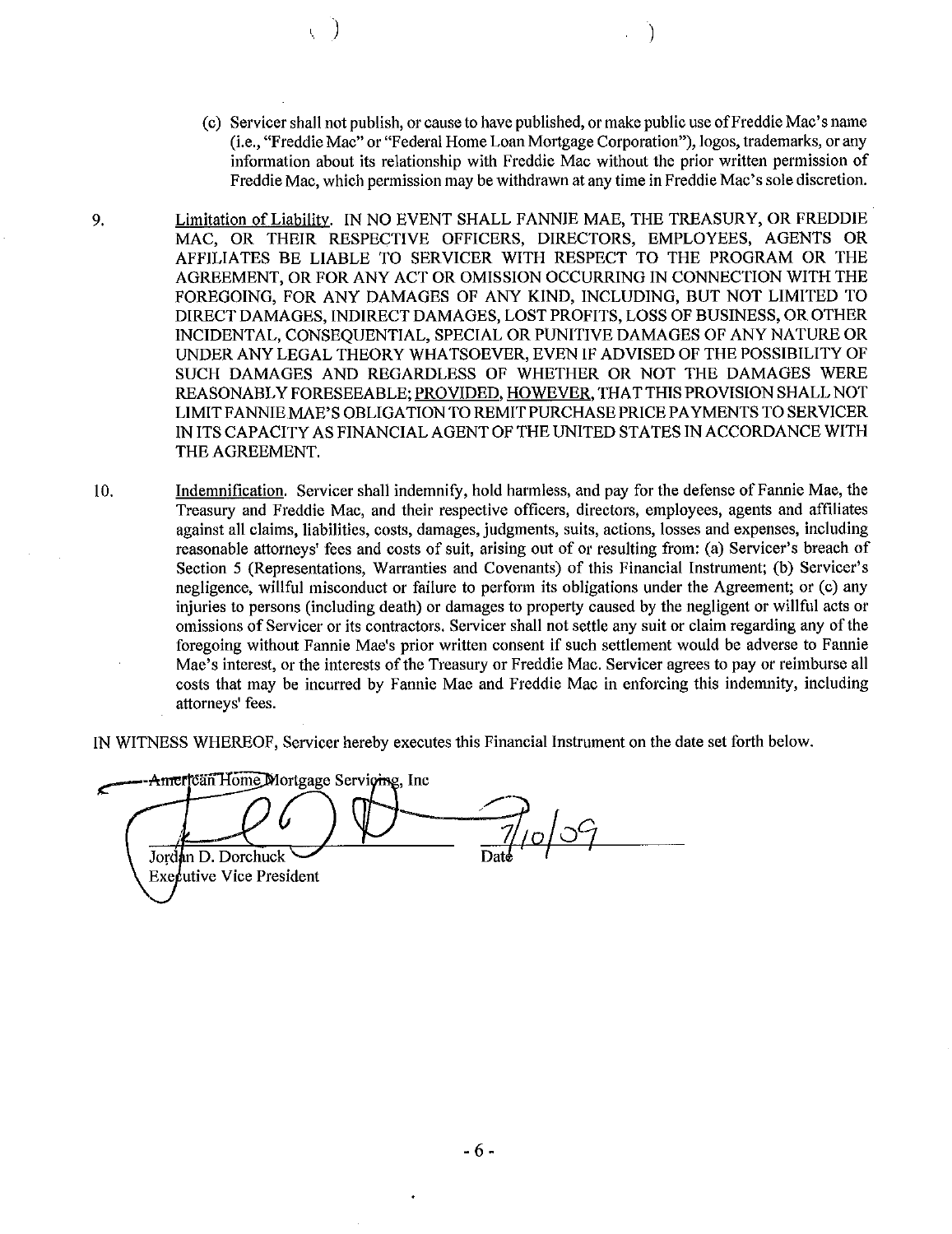(c) Servicer shall not publish, or cause to have published, or make public use ofFreddie Mac's name (Le., "Freddie Mac" or "Federal Home Loan Mortgage Corporation"), logos, trademarks, or any information about its relationship with Freddie Mac without the prior written permission of Freddie Mac, which permission may be withdrawn at any time in Freddie Mac's sole discretion.

) and the contract of  $\mathcal{O}(\mathbb{R}^d)$ 

- 9. Limitation of Liability. IN NO EVENT SHALL FANNIE MAE, THE TREASURY, OR FREDDIE MAC, OR THEIR RESPECTIVE OFFICERS, DIRECTORS, EMPLOYEES, AGENTS OR AFFILIATES BE LIABLE TO SERVICER WITH RESPECT TO THE PROGRAM OR THE AGREEMENT, OR FOR ANY ACT OR OMISSION OCCURRING IN CONNECTION WITH THE FOREGOING, FOR ANY DAMAGES OF ANY KIND, INCLUDING, BUT NOT LIMITED TO DIRECT DAMAGES, INDIRECT DAMAGES, LOST PROFITS, LOSS OF BUSINESS, OR OTHER INCIDENTAL, CONSEQUENTIAL, SPECIAL OR PUNITIVE DAMAGES OF ANY NATURE OR UNDER ANY LEGAL THEORY WHATSOEVER, EVEN IF ADVISED OF THE POSSIBILITY OF SUCH DAMAGES AND REGARDLESS OF WHETHER OR NOT THE DAMAGES WERE REASONABLY FORESEEABLE; PROVIDED, HOWEVER, THAT THIS PROVISION SHALL NOT LlMITFANNIEMAE'S OBLIGATION TO REMIT PURCHASE PRICE PAYMENTS TO SERVICER IN ITS CAPACITY AS FINANCIAL AGENT OF THE UNITED STATES IN ACCORDANCE WITH THE AGREEMENT.
- 10. Indemnification. Servicer shall indemnify, hold harmless, and pay for the defense of Fannie Mae, the Treasury and Freddie Mac, and their respective officers, directors, employees, agents and affiliates against all claims, liabilities, costs, damages, judgments, suits, actions, losses and expenses, including reasonable attorneys' fees and costs of suit, arising out of or resulting from: (a) Servicer's breach of Section 5 (Representations, Warranties and Covenants) of this Financial Instrument; (b) Servicer's negligence, willful misconduct or failure to perform its obligations under the Agreement; or (c) any injuries to persons (including death) or damages to property caused by the negligent or willful acts or omissions of Servicer or its contractors. Servicer shall not settle any suit or claim regarding any ofthe foregoing without Fannie Mae's prior written consent if such settlement would be adverse to Fannie Mae's interest, or the interests of the Treasury or Freddie Mac. Servicer agrees to pay or reimburse all costs that may be incurred by Fannie Mae and Freddie Mac in enforcing this indemnity, including attorneys' fees.

IN WITNESS WHEREOF, Servicer hereby executes this Financial Instrument on the date set forth below.

American Home Mortgage Servicing, Inc.  $7/0009$ Jordan D. Dorchuck **Executive Vice President**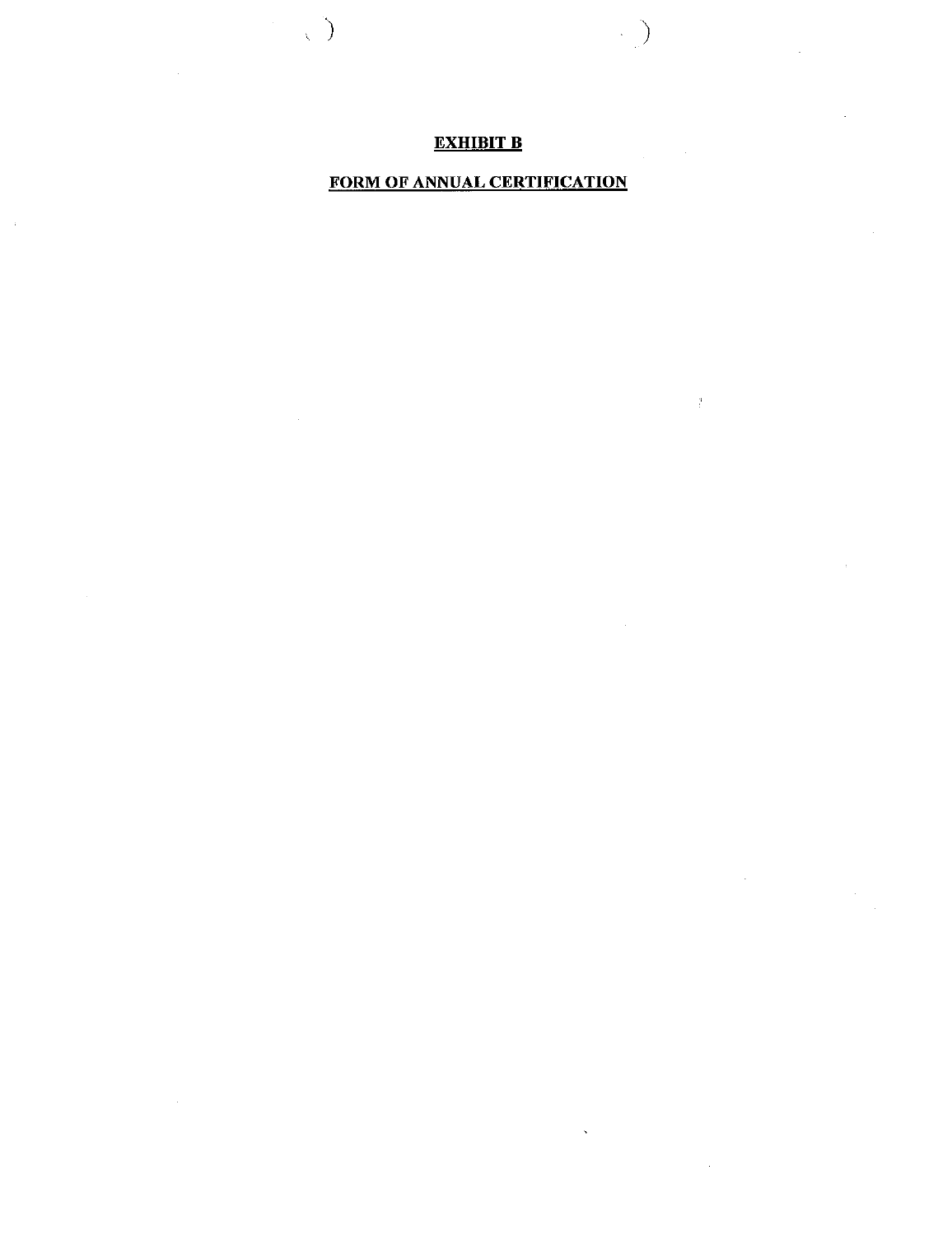## EXHIBIT B

 $\label{eq:2} \begin{pmatrix} \mathbf{1} & \mathbf{1} & \mathbf{1} \\ \mathbf{1} & \mathbf{1} & \mathbf{1} \\ \mathbf{1} & \mathbf{1} & \mathbf{1} \end{pmatrix}$ 

 $\bar{\alpha}$ 

 $\left\langle \quad \right\rangle$ 

 $\sim$ 

 $\frac{9}{l}$ 

## FORM OF ANNUAL CERTIFICATION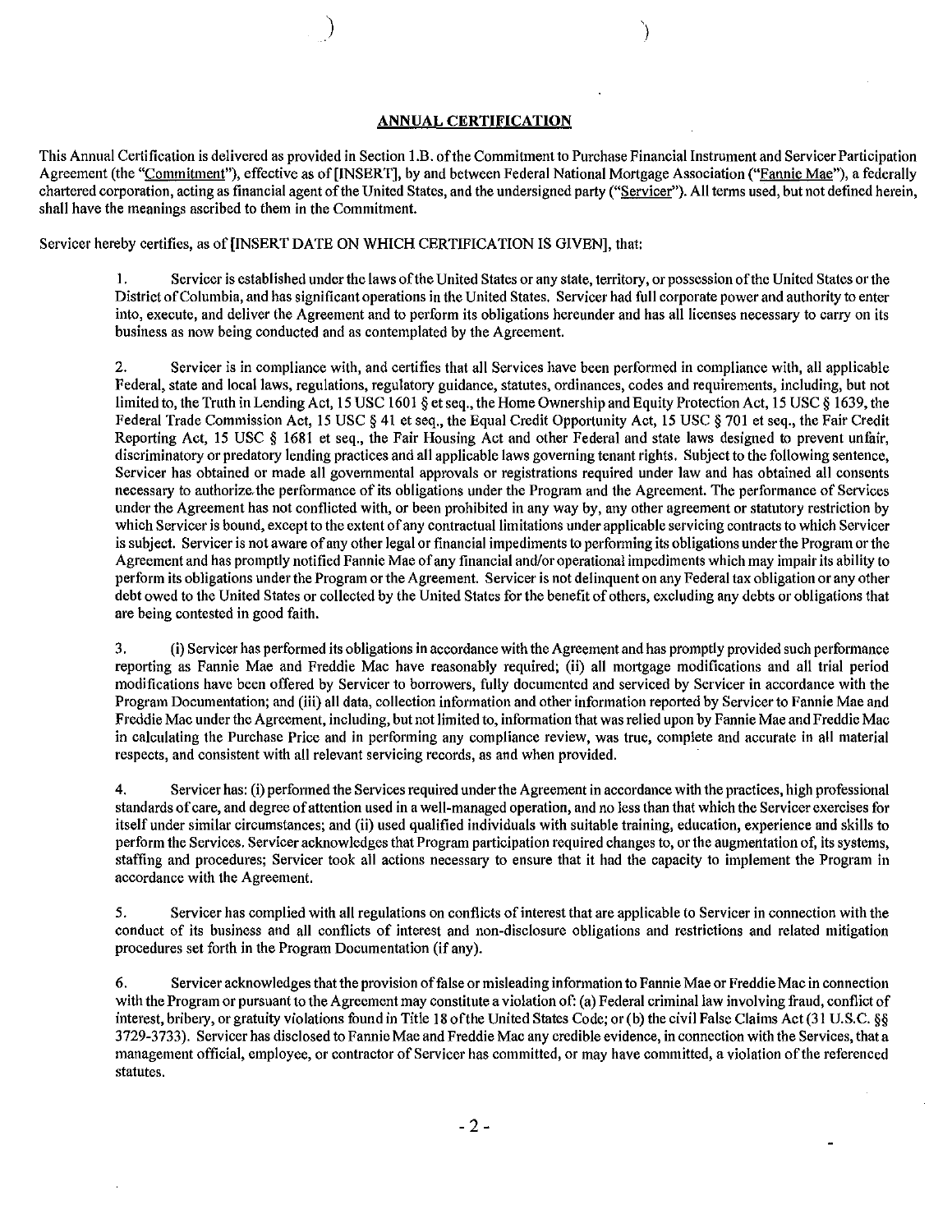#### **ANNUAL CERTIFICATION**

This Annual Certification is delivered as provided in Section 1.B. of the Commitment to Purchase Financial Instrument and Servicer Participation Agreement (the "Commitment"), effective as of [INSERT], by and between Federal National Mortgage Association ("Fannie Mae"), a federally chartered corporation, acting as financial agent of the United States, and the undersigned party ("Servicer"). All terms used, but not defined herein, shall have the meanings ascribed to them in the Commitment.

Servicer hereby certifies, as of [INSERT DATE ON WHICH CERTIFICATION IS GIVEN], that:

ر<br>ر

I. Servicer is established under the laws ofthe United States or any state, territory, or possession ofthe United States or the District ofColumbia, and has significant operations in the United States. Servicer had full corporate power and authority to enter into, execute, and deliver the Agreement and to perform its obligations hereunder and has all licenses necessary to carry on its business as now being conducted and as contemplated by the Agreement.

2. Servicer is in compliance with, and certifies that all Services have been performed in compliance with, all applicable Federal, state and local laws, regulations, regulatory guidance, statutes, ordinances, codes and requirements, including, but not limited to, the Truth in Lending Act, 15 USC 1601 § et seq., the Home Ownership and Equity Protection Act, 15 USC § 1639, the Federal Trade Commission Act, 15 USC § 41 et seq., the Equal Credit Opportunity Act, 15 USC § 701 et seq., the Fair Credit Reporting Act, 15 USC § 1681 et seq., the Fair Housing Act and other Federal and state laws designed to prevent unfair, discriminatory or predatory lending practices and all applicable laws governing tenant rights. Subject to the following sentence, Servicer has obtained or made all governmental approvals or registrations required under law and has obtained all consents necessary to authorize the performance of its obligations under the Program and the Agreement. The performance of Services under the Agreement has not conflicted with, or been prohibited in any way by, any other agreement or statutory restriction by which Servicer is bound, except to the extent of any contractual limitations under applicable servicing contracts to which Servicer is subject. Servicer is not aware of any other legal or financial impediments to performing its obligations under the Program or the Agreement and has promptly notified Fannie Mae ofany financial and/or operational impediments which may impair its ability to perform its obligations under the Program or the Agreement. Servicer is not delinquent on any Federal tax obligation or any other debt owed to the United States or collected by the United States for the benefit of others, excluding any debts or obligations that are being contested in good faith.

3. (i) Servicer has performed its obligations in accordance with the Agreement and has promptly provided such performance reporting as Fannie Mae and Freddie Mac have reasonably required; (ii) all mortgage modifications and all trial period modifications have been offered by Servicer to borrowers, fully docnmented and serviced by Servicer in accordance with the Program Documentation; and (iii) all data, collection information and other information reported by Servicer to Fannie Mae and Freddie Mac under the Agreement, including, but not limited to, information that was relied upon by Fannie Mae and Freddie Mac in calculating the Purchase Price and in performing any compliance review, was true, complete and accurate in all material **respects, and consistent with all relevant servicing records, as and when provided.**

4. Servicer has: (i) performed the Services required underthe Agreement in accordance with the practices, high professional standards ofcare, and degree ofattention used in a well-managed operation, and no less than that which the Servicer exercises for itself under similar circumstances; and (ii) used qualified individuals with suitable training, education, experience and skills to perform the Services. Servicer acknowledges that Program participation required changes to, or the augmentation of, its systems, staffing and procedures; Servicer took all actions necessary to ensure that it had the capacity to implement the Program in **accordance with the Agreement.**

5. Servicer has complied with all regulations on conflicts ofinterest that are applicable to Servicer in connection with the conduct of its business and all conflicts of interest and non-disclosure obligations and restrictions and related mitigation procedures set forth in the Program Documentation (if any).

6. Servicer acknowledges that the provision of false or misleading information to Fannie Mae or Freddie Mac in connection with the Program or pursuant to the Agreement may constitute a violation of: (a) Federal criminal law involving fraud, conflict of interest, bribery, or gratuity violations found in Title 18 of the United States Code; or (b) the civil False Claims Act (31 U.S.C. §§ 3729-3733). Servicer has disclosed to Fannie Mae and Freddie Mac any credible evidence, in connection with the Services, that a management official, employee, or contractor of Servicer has committed, or may have committed, a violation of the referenced **statutes.**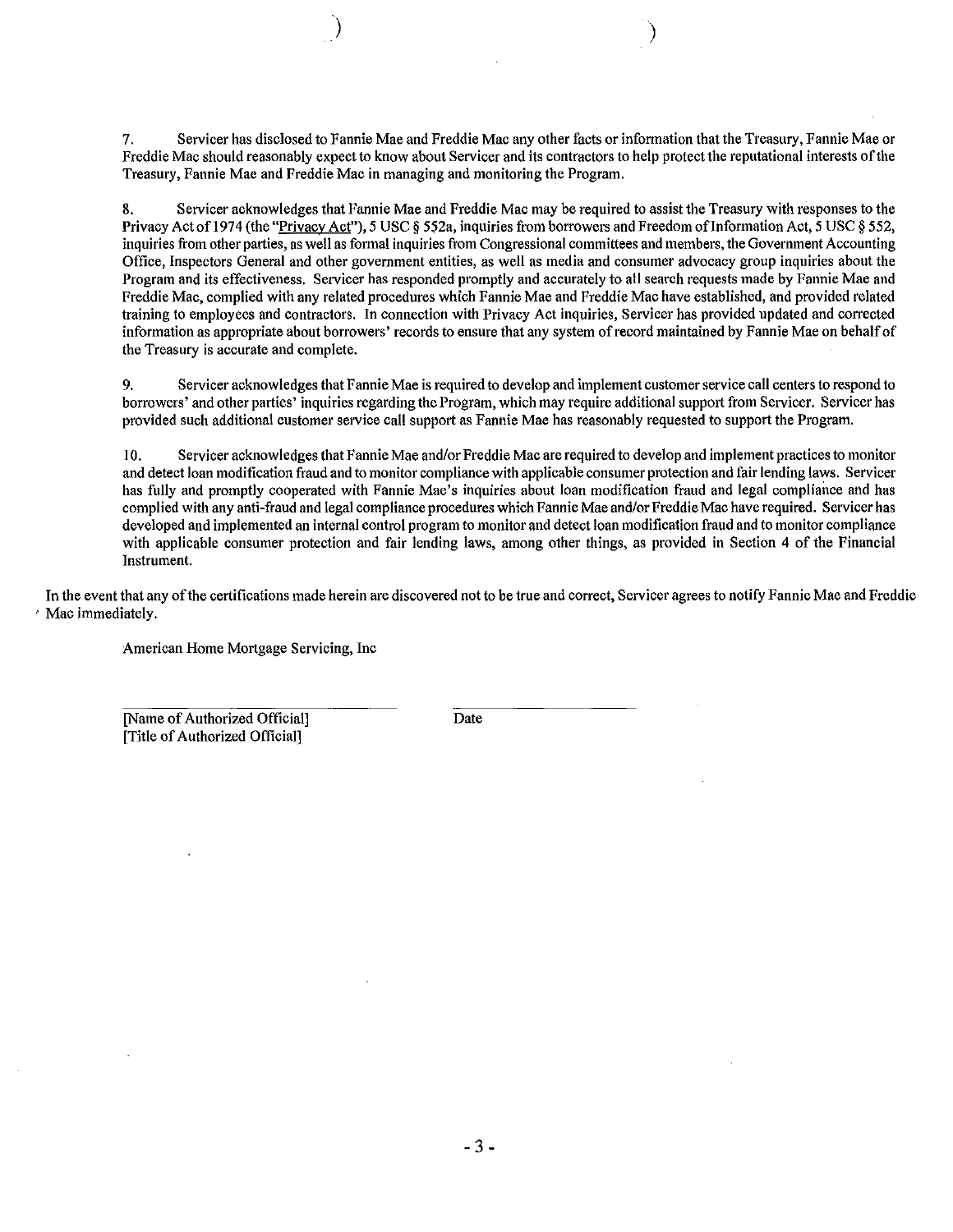7. Servicer has disclosed to Fannie Mae and Freddie Mac any other facts or information that the Treasury, Fannie Mae or Freddie Mac should reasonably expect to know about Servicer and its contractors to help protect the reputational interests ofthe **Treasury, Fannie Mae and Freddie Mac in managing and monitoring the Program.**

) )

8. Servicer acknowledges that Fannie Mae and Freddie Mac may be required to assist the Treasury with responses to the Privacy Act of 1974 (the "Privacy Act"), 5 USC 8 552a, inquiries from borrowers and Freedom of Information Act, 5 USC 8 552, inquiries from other parties, as well as formal inquiries from Congressional committees and members, the Government Accounting Office, Inspectors General and other government entities, as well as media and consumer advocacy group inquiries about the Program and its effectiveness. Servicer has responded promptly and accurately to all search requests made by Fannie Mae and Freddie Mac, complied with any related procedures which Fannie Mae and Freddie Mac have established, and provided related training to employees and contractors. In connection with Privacy Act inquiries, Servicer has provided updated and corrected information as appropriate about borrowers' records to ensure that any system of record maintained by Fannie Mae on behalf of the Treasury is accurate and complete.

9. Servicer acknowledges that Fannie Mae is required to develop and implement customerservice call centers to respond to borrowers' and other parties' inquiries regarding the Program, which may require additional support from Servicer. Servicer has provided such additional customer service call support as Fannie Mae has reasonably requested to support the Program.

10. Servicer acknowledges that Fannie Mae and/or Freddie Mac are required to develop and implement practicesto monitor and detect loan modification fraud and to monitor compliance with applicable consumer protection and fair lending laws. Servicer has fully and promptly cooperated with Fannie Mae's inquiries about loan modification fraud and legal compliance and has complied with any anti-fraud and legal compliance procedures which Fannie Mae and/or Freddie Mac have required. Servicer has developed and implemented an internal control program to monitor and detect loan modification fraud and to monitor compliance with applicable consumer protection and fair lending laws, among other things, as provided in Section 4 of the Financial **Instrument.**

In the event that any of the certifications made herein are discovered not to be true and correct, Servicer agrees to notify Fannie Mae and Freddie , Mac immediately.

**American Home Mortgage Servicing, Inc**

[Name of Authorized Official] [Title of Authorized Official]

Date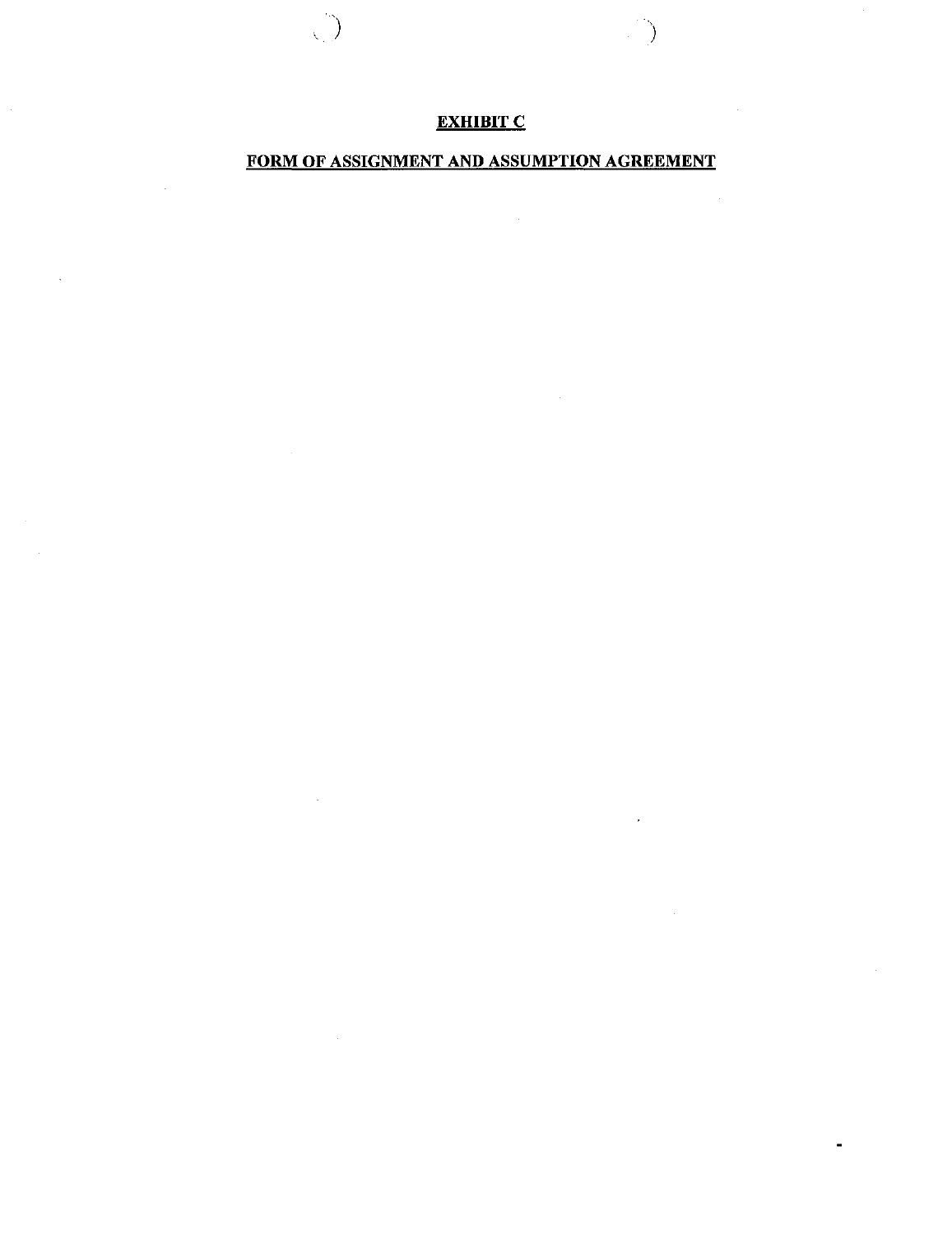# **EXHIBIT C**

 $\overline{\mathcal{L}}$ 

)

 $\mathcal{A}^{\mathcal{A}}$ 

## FORM OF ASSIGNMENT AND ASSUMPTION AGREEMENT

 $\hat{\mathcal{A}}_{\text{max}}$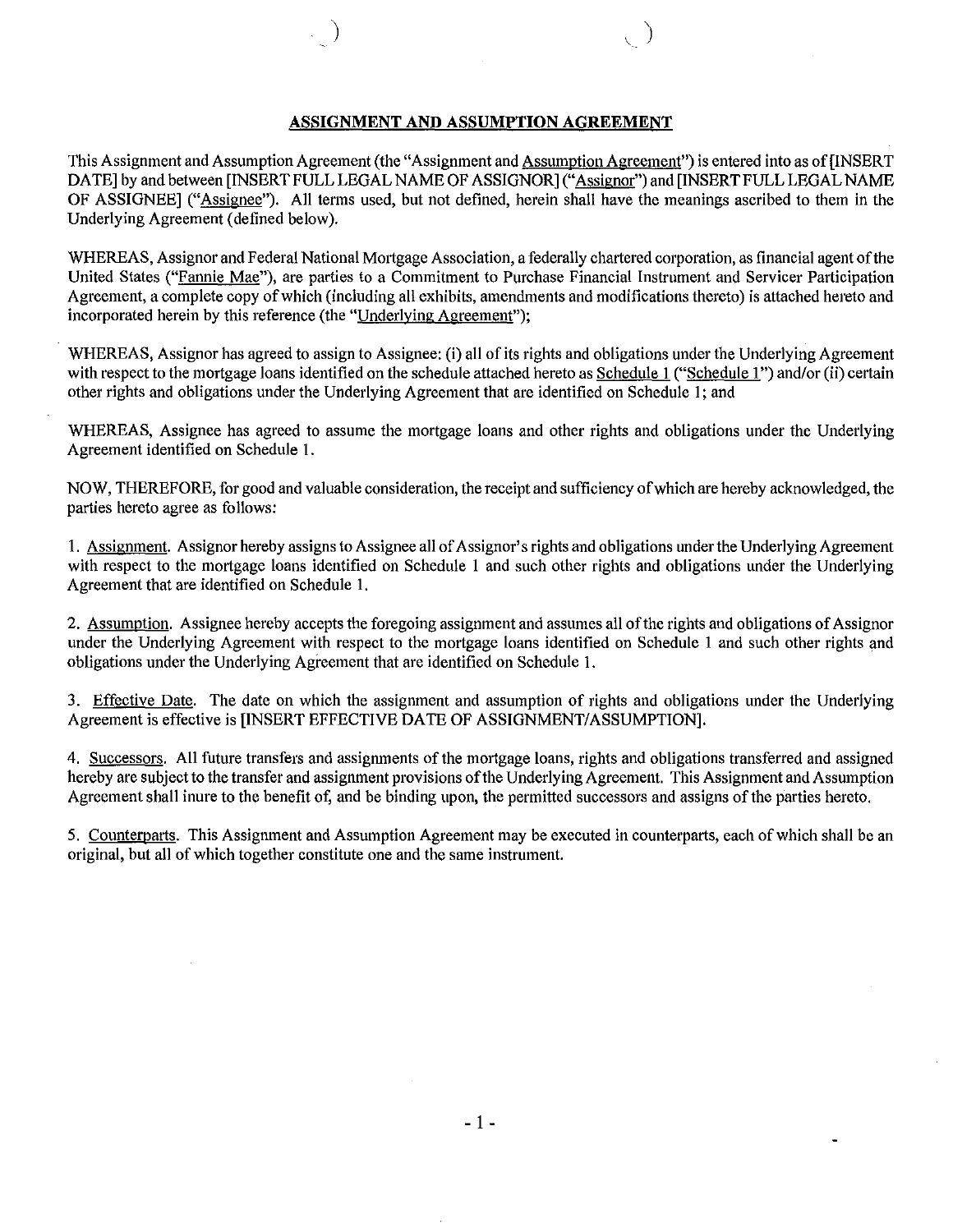#### **ASSIGNMENT AND ASSUMPTION AGREEMENT**

This Assignment and Assumption Agreement (the "Assignment and Assumption Agreement") is entered into as of [INSERT DATE] by and between [INSERT FULL LEGAL NAME OF ASSIGNOR] ("Assignor") and [INSERT FULL LEGAL NAME OF ASSIGNEE] ("Assignee"). All terms used, but not defined, herein shall have the meanings ascribed to them in the Underlying Agreement (defined below).

WHEREAS, Assignor and Federal National Mortgage Association, a federally chartered corporation, as financial agent ofthe United States ("Fannie Mae"), are parties to a Commitment to Purchase Financial Instrument and Servicer Participation Agreement, a complete copy ofwhich (including all exhibits, amendments and modifications thereto) is attached hereto and incorporated herein by this reference (the "Underlying Agreement");

WHEREAS, Assignor has agreed to assign to Assignee: (i) all of its rights and obligations under the Underlying Agreement with respect to the mortgage loans identified on the schedule attached hereto as Schedule 1 ("Schedule 1") and/or (ii) certain other rights and obligations under the Underlying Agreement that are identified on Schedule 1; and

WHEREAS, Assignee has agreed to assume the mortgage loans and other rights and obligations under the Underlying Agreement identified on Schedule 1.

NOW, THEREFORE, for good and valuable consideration, the receipt and sufficiency ofwhich are hereby acknowledged, the parties hereto agree as follows:

1. Assignment. Assignor hereby assigns to Assignee all of Assignor's rights and obligations under the Underlying Agreement with respect to the mortgage loans identified on Schedule 1 and such other rights and obligations under the Underlying Agreement that are identified on Schedule 1.

2. Assumption. Assignee hereby accepts the foregoing assignment and assumes all of the rights and obligations of Assignor under the Underlying Agreement with respect to the mortgage loans identified on Schedule 1 and such other rights and obligations under the Underlying Agreement that are identified on Schedule 1.

3. Effective Date. The date on which the assignment and assumption of rights and obligations under the Underlying Agreement is effective is [INSERT EFFECTIVE DATE OF ASSIGNMENT/ASSUMPTION].

4. Successors. All future transfers and assignments of the mortgage loans, rights and obligations transferred and assigned hereby are subject to the transfer and assignment provisions ofthe Underlying Agreement. This Assignment and Assumption Agreement shall inure to the benefit of, and be binding upon, the permitted successors and assigns of the parties hereto.

5. Counterparts. This Assignment and Assumption Agreement may be executed in counterparts, each of which shall be an original, but all of which together constitute one and the same instrument.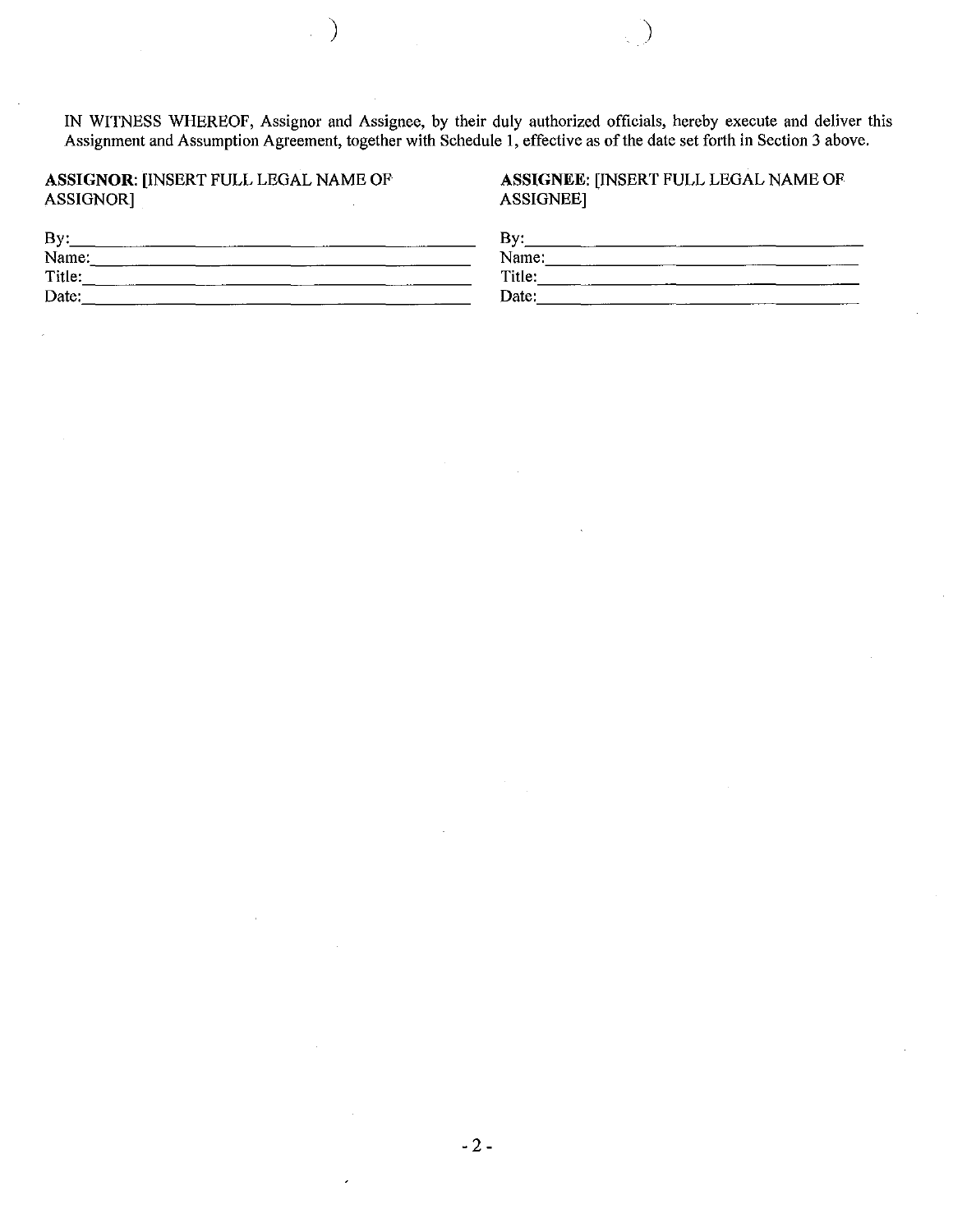IN WITNESS WHEREOF, Assignor and Assignee, by their duly authorized officials, hereby execute and deliver this Assignment and Assumption Agreement, together with Schedule 1, effective as of the date set forth in Section 3 above.

#### ASSIGNOR: [INSERT FULL LEGAL NAME OF ASSIGNOR]

)

#### ASSIGNEE: [INSERT FULL LEGAL NAME OF ASSIGNEE]

| By:    | By:    |  |
|--------|--------|--|
| Name:  | Name:  |  |
| Title: | Title: |  |
| Date:  | Date:  |  |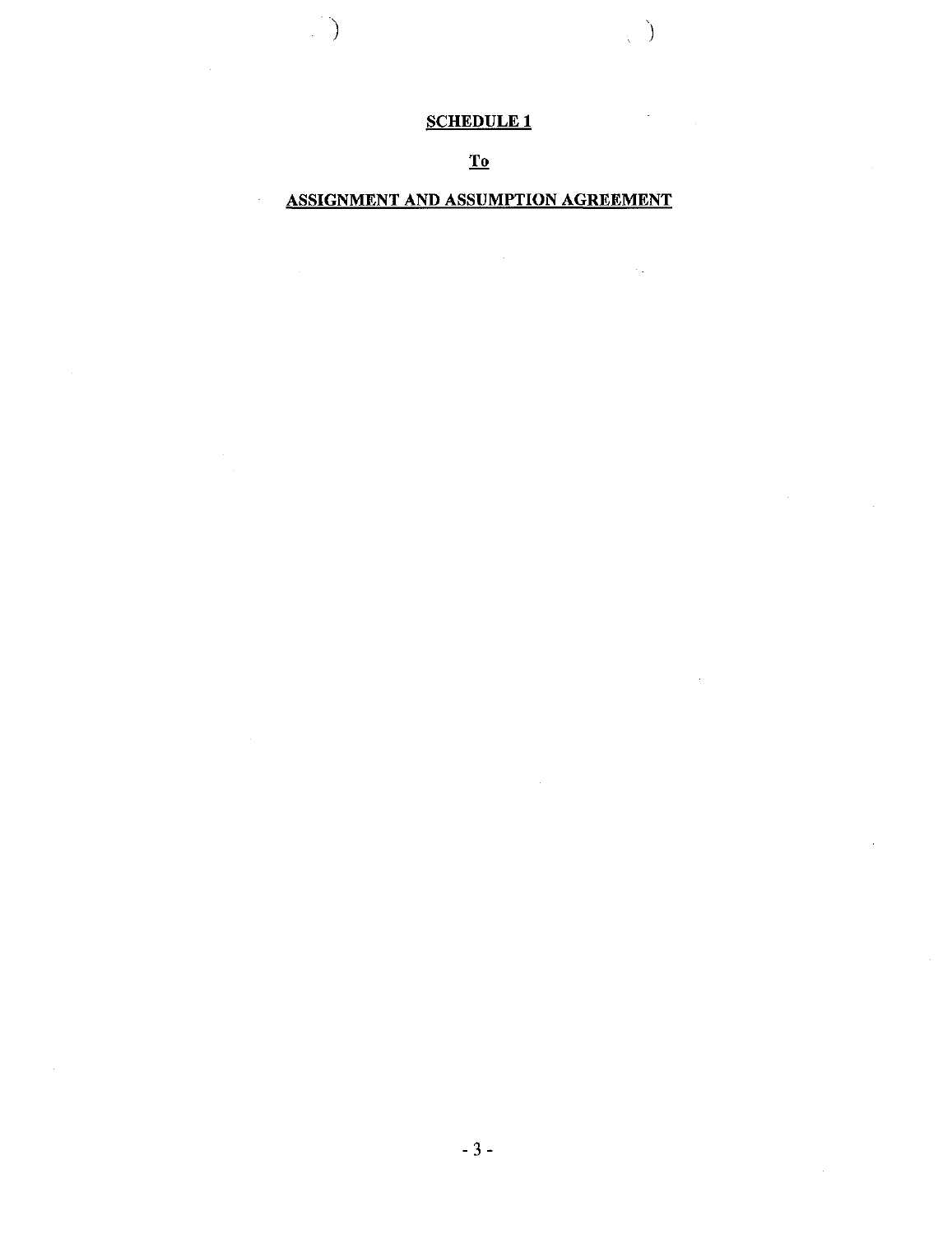# SCHEDULE 1

 $\hat{\mathcal{A}}$ 

 $\sim 1$ 

) and the contract of  $\mathcal{L}(\mathcal{A})$ 

To

## ASSIGNMENT AND ASSUMPTION AGREEMENT

 $\mathcal{A}^{\mathcal{A}}$ 

J.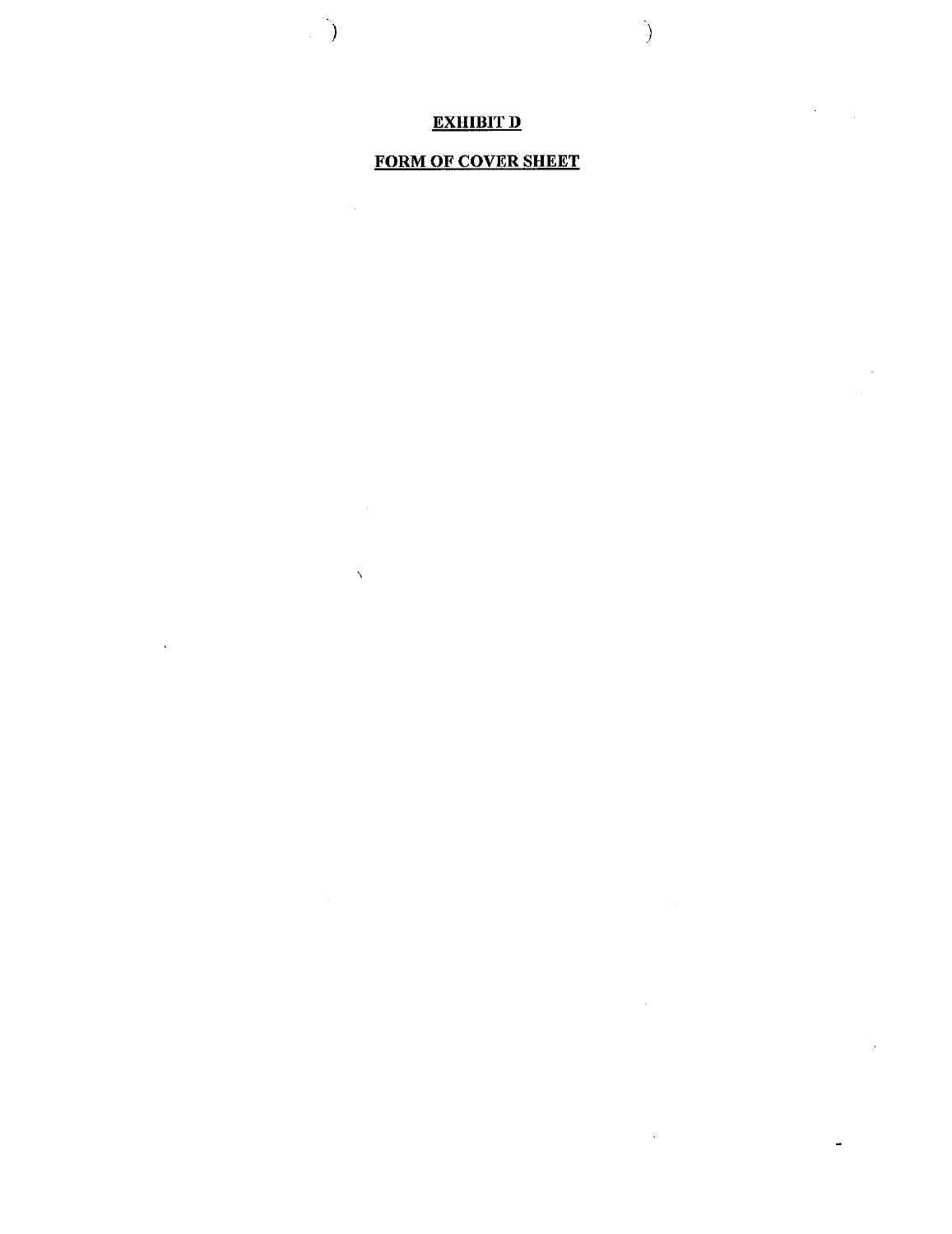## EXHIBIT D

)

 $\sim$ 

 $\mathcal{L}_{\mathcal{A}}$ 

 $\sigma_{\rm{max}}$ 

 $\ddot{\phantom{a}}$ 

 $\bar{\mathcal{A}}$ 

 $\ddot{\phantom{a}}$ 

)

 $\bar{\chi}$ 

 $\sim 10^6$ 

 $\bar{\beta}$ 

# FORM OF COVER SHEET